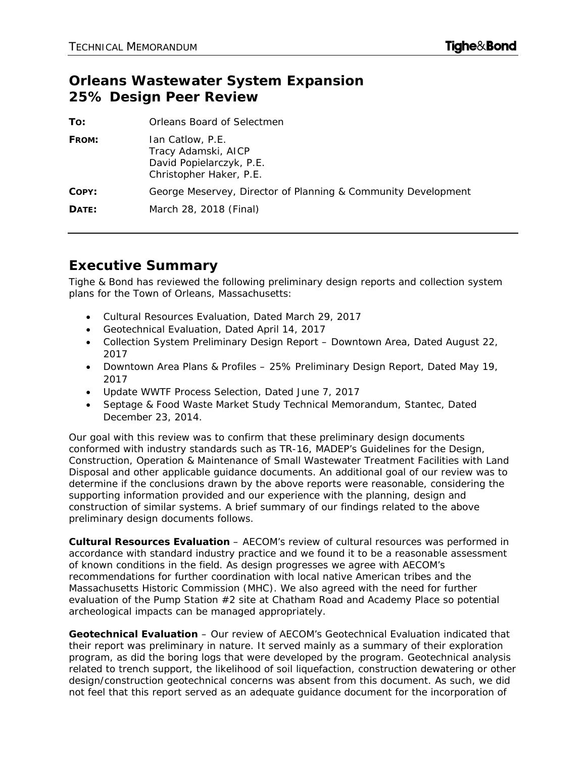## **Orleans Wastewater System Expansion 25% Design Peer Review**

| To:   | Orleans Board of Selectmen                                                                     |
|-------|------------------------------------------------------------------------------------------------|
| FROM: | Ian Catlow, P.E.<br>Tracy Adamski, AICP<br>David Popielarczyk, P.E.<br>Christopher Haker, P.E. |
| COPY: | George Meservey, Director of Planning & Community Development                                  |
| DATE: | March 28, 2018 (Final)                                                                         |

## **Executive Summary**

Tighe & Bond has reviewed the following preliminary design reports and collection system plans for the Town of Orleans, Massachusetts:

- Cultural Resources Evaluation, Dated March 29, 2017
- Geotechnical Evaluation, Dated April 14, 2017
- Collection System Preliminary Design Report Downtown Area, Dated August 22, 2017
- Downtown Area Plans & Profiles 25% Preliminary Design Report, Dated May 19, 2017
- Update WWTF Process Selection, Dated June 7, 2017
- Septage & Food Waste Market Study Technical Memorandum, Stantec, Dated December 23, 2014.

Our goal with this review was to confirm that these preliminary design documents conformed with industry standards such as *TR-16*, MADEP's *Guidelines for the Design, Construction, Operation & Maintenance of Small Wastewater Treatment Facilities with Land Disposal* and other applicable guidance documents. An additional goal of our review was to determine if the conclusions drawn by the above reports were reasonable, considering the supporting information provided and our experience with the planning, design and construction of similar systems. A brief summary of our findings related to the above preliminary design documents follows.

**Cultural Resources Evaluation** – AECOM's review of cultural resources was performed in accordance with standard industry practice and we found it to be a reasonable assessment of known conditions in the field. As design progresses we agree with AECOM's recommendations for further coordination with local native American tribes and the Massachusetts Historic Commission (MHC). We also agreed with the need for further evaluation of the Pump Station #2 site at Chatham Road and Academy Place so potential archeological impacts can be managed appropriately.

**Geotechnical Evaluation** – Our review of AECOM's Geotechnical Evaluation indicated that their report was preliminary in nature. It served mainly as a summary of their exploration program, as did the boring logs that were developed by the program. Geotechnical analysis related to trench support, the likelihood of soil liquefaction, construction dewatering or other design/construction geotechnical concerns was absent from this document. As such, we did not feel that this report served as an adequate guidance document for the incorporation of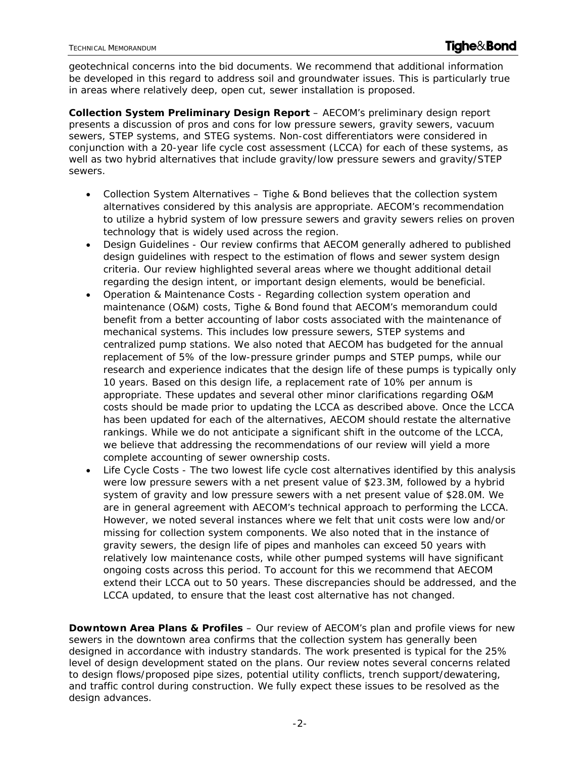geotechnical concerns into the bid documents. We recommend that additional information be developed in this regard to address soil and groundwater issues. This is particularly true in areas where relatively deep, open cut, sewer installation is proposed.

**Collection System Preliminary Design Report** – AECOM's preliminary design report presents a discussion of pros and cons for low pressure sewers, gravity sewers, vacuum sewers, STEP systems, and STEG systems. Non-cost differentiators were considered in conjunction with a 20-year life cycle cost assessment (LCCA) for each of these systems, as well as two hybrid alternatives that include gravity/low pressure sewers and gravity/STEP sewers.

- Collection System Alternatives Tighe & Bond believes that the collection system alternatives considered by this analysis are appropriate. AECOM's recommendation to utilize a hybrid system of low pressure sewers and gravity sewers relies on proven technology that is widely used across the region.
- Design Guidelines Our review confirms that AECOM generally adhered to published design guidelines with respect to the estimation of flows and sewer system design criteria. Our review highlighted several areas where we thought additional detail regarding the design intent, or important design elements, would be beneficial.
- Operation & Maintenance Costs Regarding collection system operation and maintenance (O&M) costs, Tighe & Bond found that AECOM's memorandum could benefit from a better accounting of labor costs associated with the maintenance of mechanical systems. This includes low pressure sewers, STEP systems and centralized pump stations. We also noted that AECOM has budgeted for the annual replacement of 5% of the low-pressure grinder pumps and STEP pumps, while our research and experience indicates that the design life of these pumps is typically only 10 years. Based on this design life, a replacement rate of 10% per annum is appropriate. These updates and several other minor clarifications regarding O&M costs should be made prior to updating the LCCA as described above. Once the LCCA has been updated for each of the alternatives, AECOM should restate the alternative rankings. While we do not anticipate a significant shift in the outcome of the LCCA, we believe that addressing the recommendations of our review will yield a more complete accounting of sewer ownership costs.
- Life Cycle Costs The two lowest life cycle cost alternatives identified by this analysis were low pressure sewers with a net present value of \$23.3M, followed by a hybrid system of gravity and low pressure sewers with a net present value of \$28.0M. We are in general agreement with AECOM's technical approach to performing the LCCA. However, we noted several instances where we felt that unit costs were low and/or missing for collection system components. We also noted that in the instance of gravity sewers, the design life of pipes and manholes can exceed 50 years with relatively low maintenance costs, while other pumped systems will have significant ongoing costs across this period. To account for this we recommend that AECOM extend their LCCA out to 50 years. These discrepancies should be addressed, and the LCCA updated, to ensure that the least cost alternative has not changed.

**Downtown Area Plans & Profiles** – Our review of AECOM's plan and profile views for new sewers in the downtown area confirms that the collection system has generally been designed in accordance with industry standards. The work presented is typical for the 25% level of design development stated on the plans. Our review notes several concerns related to design flows/proposed pipe sizes, potential utility conflicts, trench support/dewatering, and traffic control during construction. We fully expect these issues to be resolved as the design advances.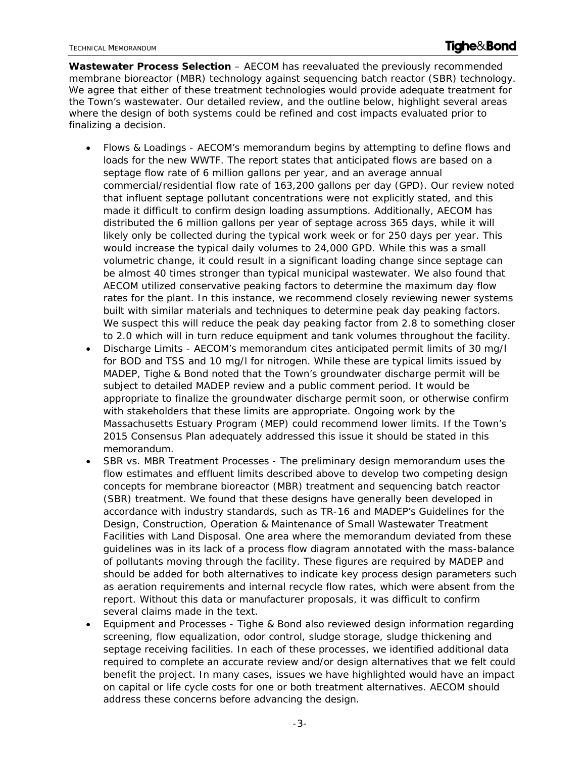**Wastewater Process Selection** – AECOM has reevaluated the previously recommended membrane bioreactor (MBR) technology against sequencing batch reactor (SBR) technology. We agree that either of these treatment technologies would provide adequate treatment for the Town's wastewater. Our detailed review, and the outline below, highlight several areas where the design of both systems could be refined and cost impacts evaluated prior to finalizing a decision.

- Flows & Loadings AECOM's memorandum begins by attempting to define flows and loads for the new WWTF. The report states that anticipated flows are based on a septage flow rate of 6 million gallons per year, and an average annual commercial/residential flow rate of 163,200 gallons per day (GPD). Our review noted that influent septage pollutant concentrations were not explicitly stated, and this made it difficult to confirm design loading assumptions. Additionally, AECOM has distributed the 6 million gallons per year of septage across 365 days, while it will likely only be collected during the typical work week or for 250 days per year. This would increase the typical daily volumes to 24,000 GPD. While this was a small volumetric change, it could result in a significant loading change since septage can be almost 40 times stronger than typical municipal wastewater. We also found that AECOM utilized conservative peaking factors to determine the maximum day flow rates for the plant. In this instance, we recommend closely reviewing newer systems built with similar materials and techniques to determine peak day peaking factors. We suspect this will reduce the peak day peaking factor from 2.8 to something closer to 2.0 which will in turn reduce equipment and tank volumes throughout the facility.
- Discharge Limits AECOM's memorandum cites anticipated permit limits of 30 mg/l for BOD and TSS and 10 mg/l for nitrogen. While these are typical limits issued by MADEP, Tighe & Bond noted that the Town's groundwater discharge permit will be subject to detailed MADEP review and a public comment period. It would be appropriate to finalize the groundwater discharge permit soon, or otherwise confirm with stakeholders that these limits are appropriate. Ongoing work by the Massachusetts Estuary Program (MEP) could recommend lower limits. If the Town's 2015 Consensus Plan adequately addressed this issue it should be stated in this memorandum.
- SBR vs. MBR Treatment Processes The preliminary design memorandum uses the flow estimates and effluent limits described above to develop two competing design concepts for membrane bioreactor (MBR) treatment and sequencing batch reactor (SBR) treatment. We found that these designs have generally been developed in accordance with industry standards, such as TR-16 and MADEP's *Guidelines for the Design, Construction, Operation & Maintenance of Small Wastewater Treatment Facilities with Land Disposal*. One area where the memorandum deviated from these guidelines was in its lack of a process flow diagram annotated with the mass-balance of pollutants moving through the facility. These figures are required by MADEP and should be added for both alternatives to indicate key process design parameters such as aeration requirements and internal recycle flow rates, which were absent from the report. Without this data or manufacturer proposals, it was difficult to confirm several claims made in the text.
- Equipment and Processes Tighe & Bond also reviewed design information regarding screening, flow equalization, odor control, sludge storage, sludge thickening and septage receiving facilities. In each of these processes, we identified additional data required to complete an accurate review and/or design alternatives that we felt could benefit the project. In many cases, issues we have highlighted would have an impact on capital or life cycle costs for one or both treatment alternatives. AECOM should address these concerns before advancing the design.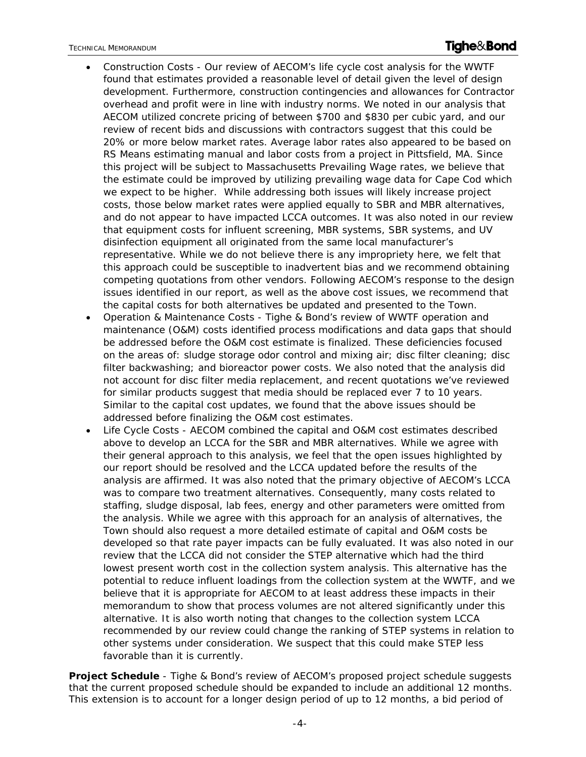- Construction Costs Our review of AECOM's life cycle cost analysis for the WWTF found that estimates provided a reasonable level of detail given the level of design development. Furthermore, construction contingencies and allowances for Contractor overhead and profit were in line with industry norms. We noted in our analysis that AECOM utilized concrete pricing of between \$700 and \$830 per cubic yard, and our review of recent bids and discussions with contractors suggest that this could be 20% or more below market rates. Average labor rates also appeared to be based on RS Means estimating manual and labor costs from a project in Pittsfield, MA. Since this project will be subject to Massachusetts Prevailing Wage rates, we believe that the estimate could be improved by utilizing prevailing wage data for Cape Cod which we expect to be higher. While addressing both issues will likely increase project costs, those below market rates were applied equally to SBR and MBR alternatives, and do not appear to have impacted LCCA outcomes. It was also noted in our review that equipment costs for influent screening, MBR systems, SBR systems, and UV disinfection equipment all originated from the same local manufacturer's representative. While we do not believe there is any impropriety here, we felt that this approach could be susceptible to inadvertent bias and we recommend obtaining competing quotations from other vendors. Following AECOM's response to the design issues identified in our report, as well as the above cost issues, we recommend that the capital costs for both alternatives be updated and presented to the Town.
- Operation & Maintenance Costs Tighe & Bond's review of WWTF operation and maintenance (O&M) costs identified process modifications and data gaps that should be addressed before the O&M cost estimate is finalized. These deficiencies focused on the areas of: sludge storage odor control and mixing air; disc filter cleaning; disc filter backwashing; and bioreactor power costs. We also noted that the analysis did not account for disc filter media replacement, and recent quotations we've reviewed for similar products suggest that media should be replaced ever 7 to 10 years. Similar to the capital cost updates, we found that the above issues should be addressed before finalizing the O&M cost estimates.
- Life Cycle Costs AECOM combined the capital and O&M cost estimates described above to develop an LCCA for the SBR and MBR alternatives. While we agree with their general approach to this analysis, we feel that the open issues highlighted by our report should be resolved and the LCCA updated before the results of the analysis are affirmed. It was also noted that the primary objective of AECOM's LCCA was to compare two treatment alternatives. Consequently, many costs related to staffing, sludge disposal, lab fees, energy and other parameters were omitted from the analysis. While we agree with this approach for an analysis of alternatives, the Town should also request a more detailed estimate of capital and O&M costs be developed so that rate payer impacts can be fully evaluated. It was also noted in our review that the LCCA did not consider the STEP alternative which had the third lowest present worth cost in the collection system analysis. This alternative has the potential to reduce influent loadings from the collection system at the WWTF, and we believe that it is appropriate for AECOM to at least address these impacts in their memorandum to show that process volumes are not altered significantly under this alternative. It is also worth noting that changes to the collection system LCCA recommended by our review could change the ranking of STEP systems in relation to other systems under consideration. We suspect that this could make STEP less favorable than it is currently.

**Project Schedule** - Tighe & Bond's review of AECOM's proposed project schedule suggests that the current proposed schedule should be expanded to include an additional 12 months. This extension is to account for a longer design period of up to 12 months, a bid period of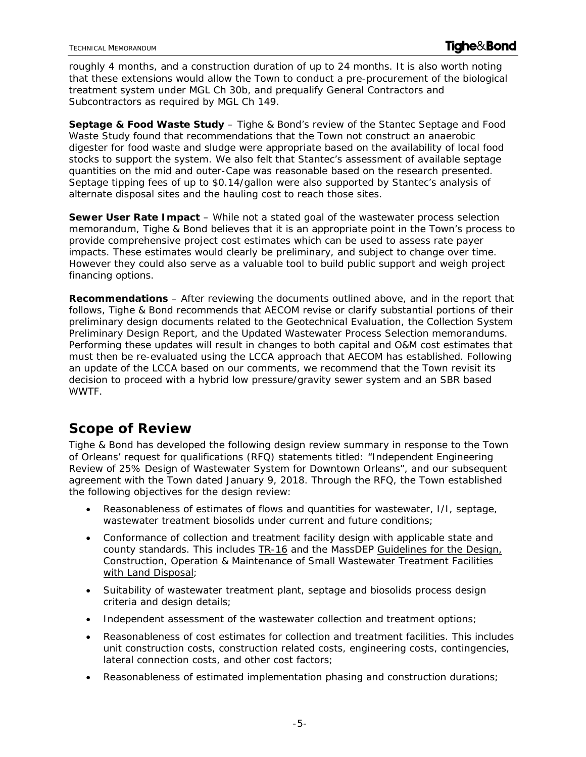roughly 4 months, and a construction duration of up to 24 months. It is also worth noting that these extensions would allow the Town to conduct a pre-procurement of the biological treatment system under MGL Ch 30b, and prequalify General Contractors and Subcontractors as required by MGL Ch 149.

**Septage & Food Waste Study** – Tighe & Bond's review of the Stantec Septage and Food Waste Study found that recommendations that the Town not construct an anaerobic digester for food waste and sludge were appropriate based on the availability of local food stocks to support the system. We also felt that Stantec's assessment of available septage quantities on the mid and outer-Cape was reasonable based on the research presented. Septage tipping fees of up to \$0.14/gallon were also supported by Stantec's analysis of alternate disposal sites and the hauling cost to reach those sites.

**Sewer User Rate Impact** – While not a stated goal of the wastewater process selection memorandum, Tighe & Bond believes that it is an appropriate point in the Town's process to provide comprehensive project cost estimates which can be used to assess rate payer impacts. These estimates would clearly be preliminary, and subject to change over time. However they could also serve as a valuable tool to build public support and weigh project financing options.

**Recommendations** – After reviewing the documents outlined above, and in the report that follows, Tighe & Bond recommends that AECOM revise or clarify substantial portions of their preliminary design documents related to the Geotechnical Evaluation, the Collection System Preliminary Design Report, and the Updated Wastewater Process Selection memorandums. Performing these updates will result in changes to both capital and O&M cost estimates that must then be re-evaluated using the LCCA approach that AECOM has established. Following an update of the LCCA based on our comments, we recommend that the Town revisit its decision to proceed with a hybrid low pressure/gravity sewer system and an SBR based WWTF.

## **Scope of Review**

Tighe & Bond has developed the following design review summary in response to the Town of Orleans' request for qualifications (RFQ) statements titled: "*Independent Engineering Review of 25% Design of Wastewater System for Downtown Orleans*", and our subsequent agreement with the Town dated January 9, 2018. Through the RFQ, the Town established the following objectives for the design review:

- Reasonableness of estimates of flows and quantities for wastewater, I/I, septage, wastewater treatment biosolids under current and future conditions;
- Conformance of collection and treatment facility design with applicable state and county standards. This includes TR-16 and the MassDEP Guidelines for the Design, Construction, Operation & Maintenance of Small Wastewater Treatment Facilities with Land Disposal;
- Suitability of wastewater treatment plant, septage and biosolids process design criteria and design details;
- Independent assessment of the wastewater collection and treatment options;
- Reasonableness of cost estimates for collection and treatment facilities. This includes unit construction costs, construction related costs, engineering costs, contingencies, lateral connection costs, and other cost factors;
- Reasonableness of estimated implementation phasing and construction durations;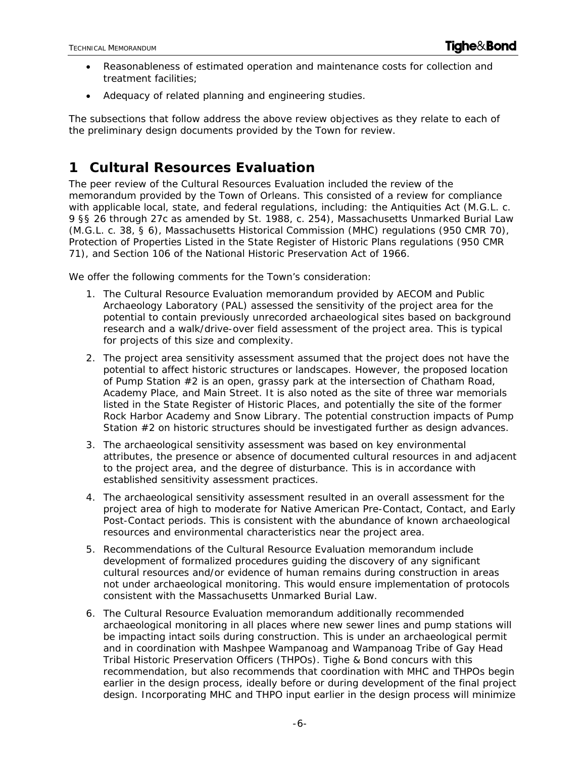- Reasonableness of estimated operation and maintenance costs for collection and treatment facilities;
- Adequacy of related planning and engineering studies.

The subsections that follow address the above review objectives as they relate to each of the preliminary design documents provided by the Town for review.

# **1 Cultural Resources Evaluation**

The peer review of the Cultural Resources Evaluation included the review of the memorandum provided by the Town of Orleans. This consisted of a review for compliance with applicable local, state, and federal regulations, including: the Antiquities Act (M.G.L. c. 9 §§ 26 through 27c as amended by St. 1988, c. 254), Massachusetts Unmarked Burial Law (M.G.L. c. 38, § 6), Massachusetts Historical Commission (MHC) regulations (950 CMR 70), Protection of Properties Listed in the State Register of Historic Plans regulations (950 CMR 71), and Section 106 of the National Historic Preservation Act of 1966.

We offer the following comments for the Town's consideration:

- 1. The Cultural Resource Evaluation memorandum provided by AECOM and Public Archaeology Laboratory (PAL) assessed the sensitivity of the project area for the potential to contain previously unrecorded archaeological sites based on background research and a walk/drive-over field assessment of the project area. This is typical for projects of this size and complexity.
- 2. The project area sensitivity assessment assumed that the project does not have the potential to affect historic structures or landscapes. However, the proposed location of Pump Station #2 is an open, grassy park at the intersection of Chatham Road, Academy Place, and Main Street. It is also noted as the site of three war memorials listed in the State Register of Historic Places, and potentially the site of the former Rock Harbor Academy and Snow Library. The potential construction impacts of Pump Station #2 on historic structures should be investigated further as design advances.
- 3. The archaeological sensitivity assessment was based on key environmental attributes, the presence or absence of documented cultural resources in and adjacent to the project area, and the degree of disturbance. This is in accordance with established sensitivity assessment practices.
- 4. The archaeological sensitivity assessment resulted in an overall assessment for the project area of high to moderate for Native American Pre-Contact, Contact, and Early Post-Contact periods. This is consistent with the abundance of known archaeological resources and environmental characteristics near the project area.
- 5. Recommendations of the Cultural Resource Evaluation memorandum include development of formalized procedures guiding the discovery of any significant cultural resources and/or evidence of human remains during construction in areas not under archaeological monitoring. This would ensure implementation of protocols consistent with the Massachusetts Unmarked Burial Law.
- 6. The Cultural Resource Evaluation memorandum additionally recommended archaeological monitoring in all places where new sewer lines and pump stations will be impacting intact soils during construction. This is under an archaeological permit and in coordination with Mashpee Wampanoag and Wampanoag Tribe of Gay Head Tribal Historic Preservation Officers (THPOs). Tighe & Bond concurs with this recommendation, but also recommends that coordination with MHC and THPOs begin earlier in the design process, ideally before or during development of the final project design. Incorporating MHC and THPO input earlier in the design process will minimize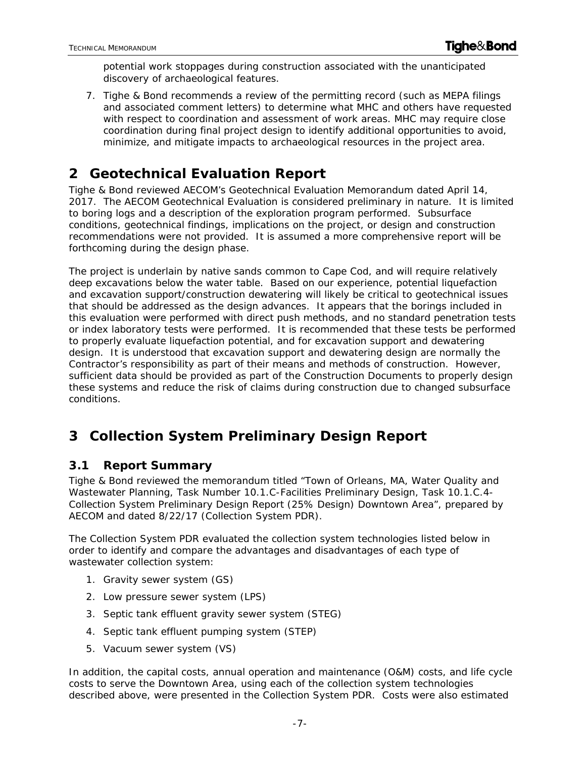potential work stoppages during construction associated with the unanticipated discovery of archaeological features.

7. Tighe & Bond recommends a review of the permitting record (such as MEPA filings and associated comment letters) to determine what MHC and others have requested with respect to coordination and assessment of work areas. MHC may require close coordination during final project design to identify additional opportunities to avoid, minimize, and mitigate impacts to archaeological resources in the project area.

# **2 Geotechnical Evaluation Report**

Tighe & Bond reviewed AECOM's Geotechnical Evaluation Memorandum dated April 14, 2017. The AECOM Geotechnical Evaluation is considered preliminary in nature. It is limited to boring logs and a description of the exploration program performed. Subsurface conditions, geotechnical findings, implications on the project, or design and construction recommendations were not provided. It is assumed a more comprehensive report will be forthcoming during the design phase.

The project is underlain by native sands common to Cape Cod, and will require relatively deep excavations below the water table. Based on our experience, potential liquefaction and excavation support/construction dewatering will likely be critical to geotechnical issues that should be addressed as the design advances. It appears that the borings included in this evaluation were performed with direct push methods, and no standard penetration tests or index laboratory tests were performed. It is recommended that these tests be performed to properly evaluate liquefaction potential, and for excavation support and dewatering design. It is understood that excavation support and dewatering design are normally the Contractor's responsibility as part of their means and methods of construction. However, sufficient data should be provided as part of the Construction Documents to properly design these systems and reduce the risk of claims during construction due to changed subsurface conditions.

# **3 Collection System Preliminary Design Report**

## **3.1 Report Summary**

Tighe & Bond reviewed the memorandum titled "Town of Orleans, MA, Water Quality and Wastewater Planning, Task Number 10.1.C-Facilities Preliminary Design, Task 10.1.C.4- Collection System Preliminary Design Report (25% Design) Downtown Area", prepared by AECOM and dated 8/22/17 (Collection System PDR).

The Collection System PDR evaluated the collection system technologies listed below in order to identify and compare the advantages and disadvantages of each type of wastewater collection system:

- 1. Gravity sewer system (GS)
- 2. Low pressure sewer system (LPS)
- 3. Septic tank effluent gravity sewer system (STEG)
- 4. Septic tank effluent pumping system (STEP)
- 5. Vacuum sewer system (VS)

In addition, the capital costs, annual operation and maintenance (O&M) costs, and life cycle costs to serve the Downtown Area, using each of the collection system technologies described above, were presented in the Collection System PDR. Costs were also estimated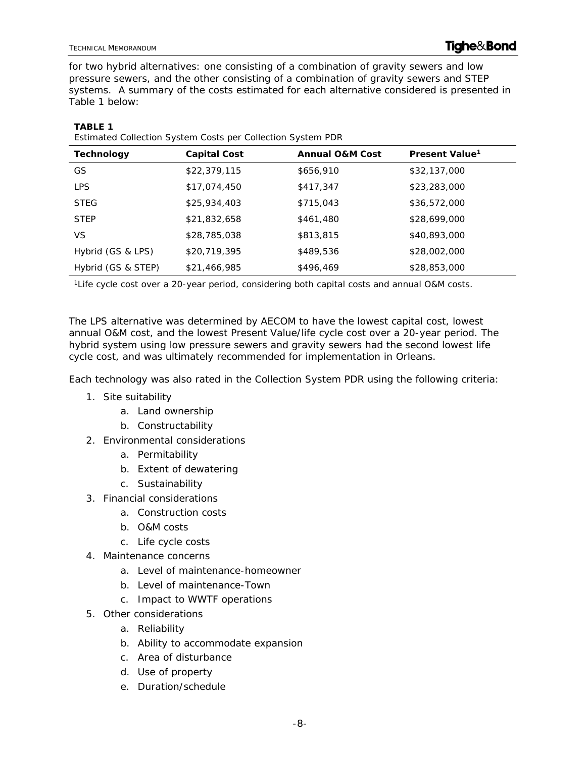**TABLE 1** 

for two hybrid alternatives: one consisting of a combination of gravity sewers and low pressure sewers, and the other consisting of a combination of gravity sewers and STEP systems. A summary of the costs estimated for each alternative considered is presented in Table 1 below:

| Estimated Collection System Costs per Collection System PDR |                     |                            |                            |  |
|-------------------------------------------------------------|---------------------|----------------------------|----------------------------|--|
| <b>Technology</b>                                           | <b>Capital Cost</b> | <b>Annual O&amp;M Cost</b> | Present Value <sup>1</sup> |  |
| GS                                                          | \$22,379,115        | \$656,910                  | \$32,137,000               |  |
| <b>LPS</b>                                                  | \$17,074,450        | \$417,347                  | \$23,283,000               |  |
| <b>STEG</b>                                                 | \$25,934,403        | \$715,043                  | \$36,572,000               |  |
| <b>STEP</b>                                                 | \$21,832,658        | \$461,480                  | \$28,699,000               |  |
| VS.                                                         | \$28,785,038        | \$813,815                  | \$40,893,000               |  |
| Hybrid (GS & LPS)                                           | \$20,719,395        | \$489,536                  | \$28,002,000               |  |
| Hybrid (GS & STEP)                                          | \$21,466,985        | \$496,469                  | \$28,853,000               |  |

1Life cycle cost over a 20-year period, considering both capital costs and annual O&M costs.

The LPS alternative was determined by AECOM to have the lowest capital cost, lowest annual O&M cost, and the lowest Present Value/life cycle cost over a 20-year period. The hybrid system using low pressure sewers and gravity sewers had the second lowest life cycle cost, and was ultimately recommended for implementation in Orleans.

Each technology was also rated in the Collection System PDR using the following criteria:

- 1. Site suitability
	- a. Land ownership
	- b. Constructability
- 2. Environmental considerations
	- a. Permitability
	- b. Extent of dewatering
	- c. Sustainability
- 3. Financial considerations
	- a. Construction costs
	- b. O&M costs
	- c. Life cycle costs
- 4. Maintenance concerns
	- a. Level of maintenance-homeowner
	- b. Level of maintenance-Town
	- c. Impact to WWTF operations
- 5. Other considerations
	- a. Reliability
	- b. Ability to accommodate expansion
	- c. Area of disturbance
	- d. Use of property
	- e. Duration/schedule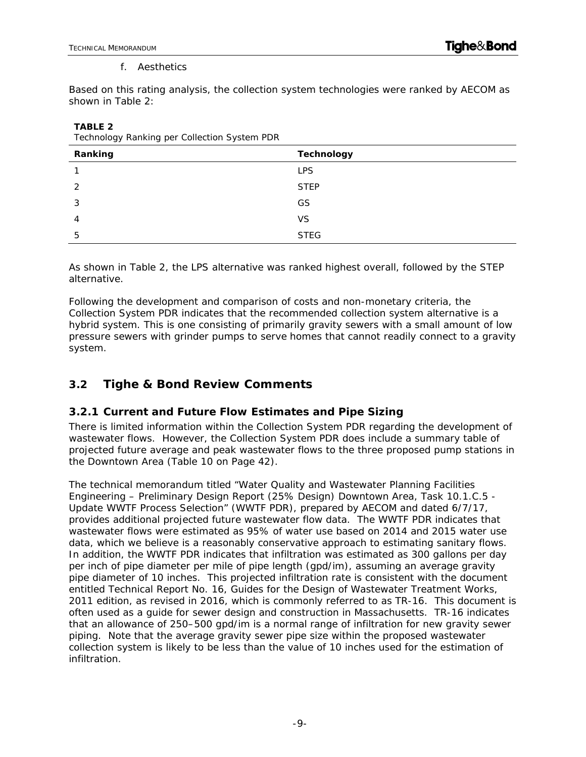#### f. Aesthetics

Based on this rating analysis, the collection system technologies were ranked by AECOM as shown in Table 2:

| ັບ<br>ັ<br>╯<br>Ranking | <b>Technology</b> |
|-------------------------|-------------------|
|                         | <b>LPS</b>        |
| 2                       | <b>STEP</b>       |
| 3                       | GS                |
| 4                       | VS                |
| 5                       | <b>STEG</b>       |

**TABLE 2**  Technology Ranking per Collection System PDR

As shown in Table 2, the LPS alternative was ranked highest overall, followed by the STEP alternative.

Following the development and comparison of costs and non-monetary criteria, the Collection System PDR indicates that the recommended collection system alternative is a hybrid system. This is one consisting of primarily gravity sewers with a small amount of low pressure sewers with grinder pumps to serve homes that cannot readily connect to a gravity system.

## **3.2 Tighe & Bond Review Comments**

#### **3.2.1 Current and Future Flow Estimates and Pipe Sizing**

There is limited information within the Collection System PDR regarding the development of wastewater flows. However, the Collection System PDR does include a summary table of projected future average and peak wastewater flows to the three proposed pump stations in the Downtown Area (Table 10 on Page 42).

The technical memorandum titled "Water Quality and Wastewater Planning Facilities Engineering – Preliminary Design Report (25% Design) Downtown Area, Task 10.1.C.5 - Update WWTF Process Selection" (WWTF PDR), prepared by AECOM and dated 6/7/17, provides additional projected future wastewater flow data. The WWTF PDR indicates that wastewater flows were estimated as 95% of water use based on 2014 and 2015 water use data, which we believe is a reasonably conservative approach to estimating sanitary flows. In addition, the WWTF PDR indicates that infiltration was estimated as 300 gallons per day per inch of pipe diameter per mile of pipe length (gpd/im), assuming an average gravity pipe diameter of 10 inches. This projected infiltration rate is consistent with the document entitled *Technical Report No. 16, Guides for the Design of Wastewater Treatment Works*, 2011 edition, as revised in 2016, which is commonly referred to as TR-16. This document is often used as a guide for sewer design and construction in Massachusetts. TR-16 indicates that an allowance of 250–500 gpd/im is a normal range of infiltration for new gravity sewer piping. Note that the average gravity sewer pipe size within the proposed wastewater collection system is likely to be less than the value of 10 inches used for the estimation of infiltration.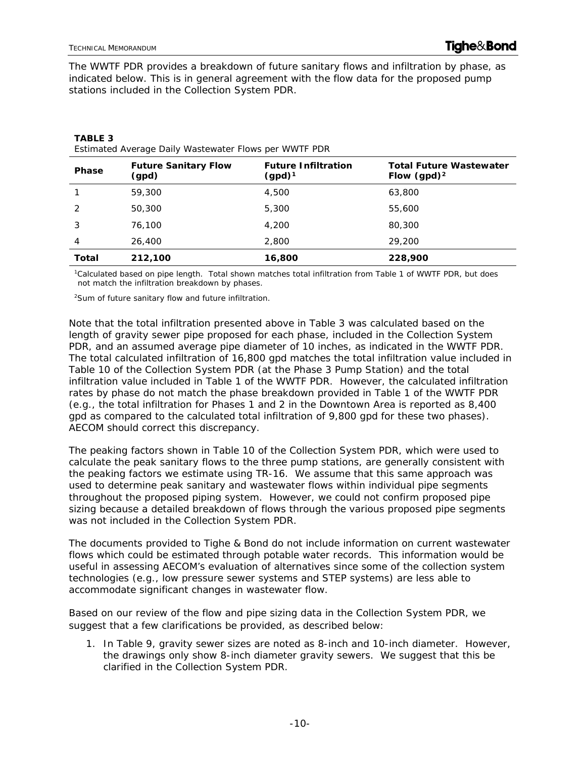**TABLE 3** 

The WWTF PDR provides a breakdown of future sanitary flows and infiltration by phase, as indicated below. This is in general agreement with the flow data for the proposed pump stations included in the Collection System PDR.

| <b>Phase</b> | <b>Future Sanitary Flow</b><br>(gpd) | <b>Future Infiltration</b><br>$(gpd)^1$ | <b>Total Future Wastewater</b><br>Flow $(gpd)^2$ |
|--------------|--------------------------------------|-----------------------------------------|--------------------------------------------------|
|              | 59,300                               | 4,500                                   | 63,800                                           |
| 2            | 50,300                               | 5,300                                   | 55,600                                           |
| 3            | 76,100                               | 4,200                                   | 80,300                                           |
| 4            | 26,400                               | 2,800                                   | 29,200                                           |
| <b>Total</b> | 212,100                              | 16,800                                  | 228,900                                          |

| Estimated Average Daily Wastewater Flows per WWTF PDR |  |  |  |
|-------------------------------------------------------|--|--|--|

1Calculated based on pipe length. Total shown matches total infiltration from Table 1 of WWTF PDR, but does not match the infiltration breakdown by phases.

2Sum of future sanitary flow and future infiltration.

Note that the total infiltration presented above in Table 3 was calculated based on the length of gravity sewer pipe proposed for each phase, included in the Collection System PDR, and an assumed average pipe diameter of 10 inches, as indicated in the WWTF PDR. The total calculated infiltration of 16,800 gpd matches the total infiltration value included in Table 10 of the Collection System PDR (at the Phase 3 Pump Station) and the total infiltration value included in Table 1 of the WWTF PDR. However, the calculated infiltration rates by phase do not match the phase breakdown provided in Table 1 of the WWTF PDR (e.g., the total infiltration for Phases 1 and 2 in the Downtown Area is reported as 8,400 gpd as compared to the calculated total infiltration of 9,800 gpd for these two phases). AECOM should correct this discrepancy.

The peaking factors shown in Table 10 of the Collection System PDR, which were used to calculate the peak sanitary flows to the three pump stations, are generally consistent with the peaking factors we estimate using TR-16. We assume that this same approach was used to determine peak sanitary and wastewater flows within individual pipe segments throughout the proposed piping system. However, we could not confirm proposed pipe sizing because a detailed breakdown of flows through the various proposed pipe segments was not included in the Collection System PDR.

The documents provided to Tighe & Bond do not include information on current wastewater flows which could be estimated through potable water records. This information would be useful in assessing AECOM's evaluation of alternatives since some of the collection system technologies (e.g., low pressure sewer systems and STEP systems) are less able to accommodate significant changes in wastewater flow.

Based on our review of the flow and pipe sizing data in the Collection System PDR, we suggest that a few clarifications be provided, as described below:

1. In Table 9, gravity sewer sizes are noted as 8-inch and 10-inch diameter. However, the drawings only show 8-inch diameter gravity sewers. We suggest that this be clarified in the Collection System PDR.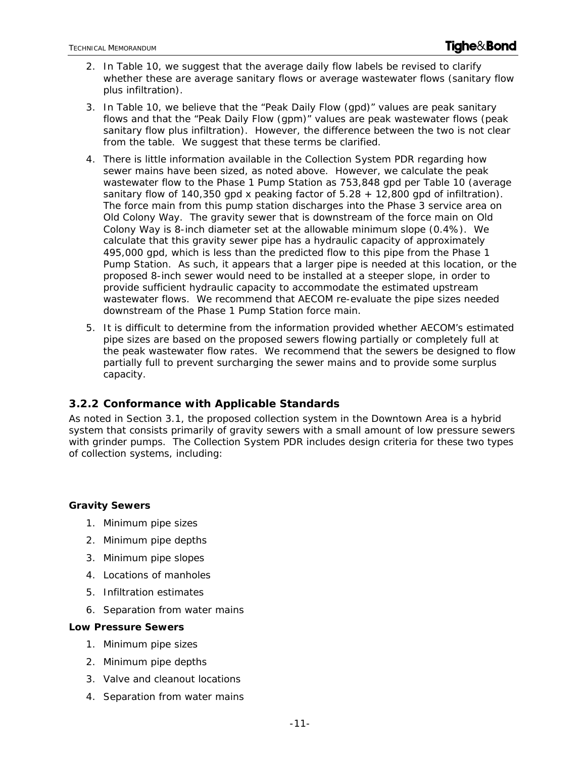- 2. In Table 10, we suggest that the average daily flow labels be revised to clarify whether these are average sanitary flows or average wastewater flows (sanitary flow plus infiltration).
- 3. In Table 10, we believe that the "Peak Daily Flow (gpd)" values are peak sanitary flows and that the "Peak Daily Flow (gpm)" values are peak wastewater flows (peak sanitary flow plus infiltration). However, the difference between the two is not clear from the table. We suggest that these terms be clarified.
- 4. There is little information available in the Collection System PDR regarding how sewer mains have been sized, as noted above. However, we calculate the peak wastewater flow to the Phase 1 Pump Station as 753,848 gpd per Table 10 (average sanitary flow of 140,350 gpd x peaking factor of  $5.28 + 12,800$  gpd of infiltration). The force main from this pump station discharges into the Phase 3 service area on Old Colony Way. The gravity sewer that is downstream of the force main on Old Colony Way is 8-inch diameter set at the allowable minimum slope (0.4%). We calculate that this gravity sewer pipe has a hydraulic capacity of approximately 495,000 gpd, which is less than the predicted flow to this pipe from the Phase 1 Pump Station. As such, it appears that a larger pipe is needed at this location, or the proposed 8-inch sewer would need to be installed at a steeper slope, in order to provide sufficient hydraulic capacity to accommodate the estimated upstream wastewater flows. We recommend that AECOM re-evaluate the pipe sizes needed downstream of the Phase 1 Pump Station force main.
- 5. It is difficult to determine from the information provided whether AECOM's estimated pipe sizes are based on the proposed sewers flowing partially or completely full at the peak wastewater flow rates. We recommend that the sewers be designed to flow partially full to prevent surcharging the sewer mains and to provide some surplus capacity.

### **3.2.2 Conformance with Applicable Standards**

As noted in Section 3.1, the proposed collection system in the Downtown Area is a hybrid system that consists primarily of gravity sewers with a small amount of low pressure sewers with grinder pumps. The Collection System PDR includes design criteria for these two types of collection systems, including:

#### **Gravity Sewers**

- 1. Minimum pipe sizes
- 2. Minimum pipe depths
- 3. Minimum pipe slopes
- 4. Locations of manholes
- 5. Infiltration estimates
- 6. Separation from water mains

#### **Low Pressure Sewers**

- 1. Minimum pipe sizes
- 2. Minimum pipe depths
- 3. Valve and cleanout locations
- 4. Separation from water mains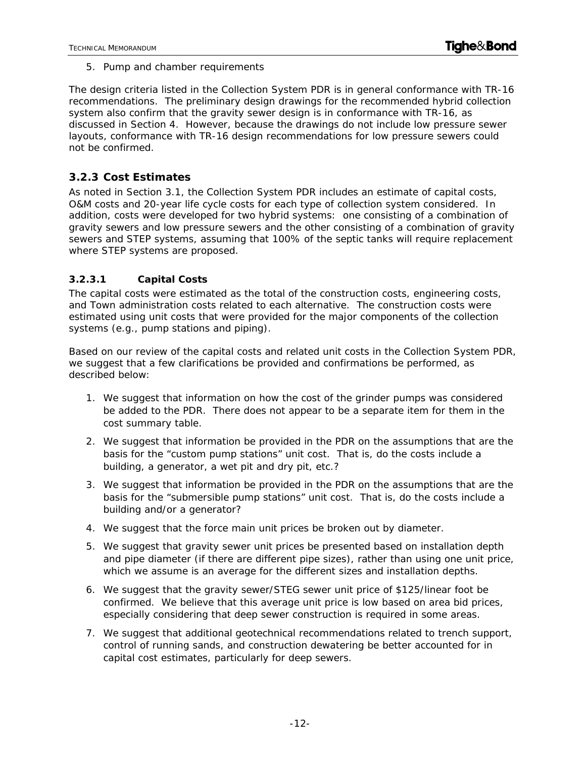5. Pump and chamber requirements

The design criteria listed in the Collection System PDR is in general conformance with TR-16 recommendations. The preliminary design drawings for the recommended hybrid collection system also confirm that the gravity sewer design is in conformance with TR-16, as discussed in Section 4. However, because the drawings do not include low pressure sewer layouts, conformance with TR-16 design recommendations for low pressure sewers could not be confirmed.

#### **3.2.3 Cost Estimates**

As noted in Section 3.1, the Collection System PDR includes an estimate of capital costs, O&M costs and 20-year life cycle costs for each type of collection system considered. In addition, costs were developed for two hybrid systems: one consisting of a combination of gravity sewers and low pressure sewers and the other consisting of a combination of gravity sewers and STEP systems, assuming that 100% of the septic tanks will require replacement where STEP systems are proposed.

#### **3.2.3.1 Capital Costs**

The capital costs were estimated as the total of the construction costs, engineering costs, and Town administration costs related to each alternative. The construction costs were estimated using unit costs that were provided for the major components of the collection systems (e.g., pump stations and piping).

Based on our review of the capital costs and related unit costs in the Collection System PDR, we suggest that a few clarifications be provided and confirmations be performed, as described below:

- 1. We suggest that information on how the cost of the grinder pumps was considered be added to the PDR. There does not appear to be a separate item for them in the cost summary table.
- 2. We suggest that information be provided in the PDR on the assumptions that are the basis for the "custom pump stations" unit cost. That is, do the costs include a building, a generator, a wet pit and dry pit, etc.?
- 3. We suggest that information be provided in the PDR on the assumptions that are the basis for the "submersible pump stations" unit cost. That is, do the costs include a building and/or a generator?
- 4. We suggest that the force main unit prices be broken out by diameter.
- 5. We suggest that gravity sewer unit prices be presented based on installation depth and pipe diameter (if there are different pipe sizes), rather than using one unit price, which we assume is an average for the different sizes and installation depths.
- 6. We suggest that the gravity sewer/STEG sewer unit price of \$125/linear foot be confirmed. We believe that this average unit price is low based on area bid prices, especially considering that deep sewer construction is required in some areas.
- 7. We suggest that additional geotechnical recommendations related to trench support, control of running sands, and construction dewatering be better accounted for in capital cost estimates, particularly for deep sewers.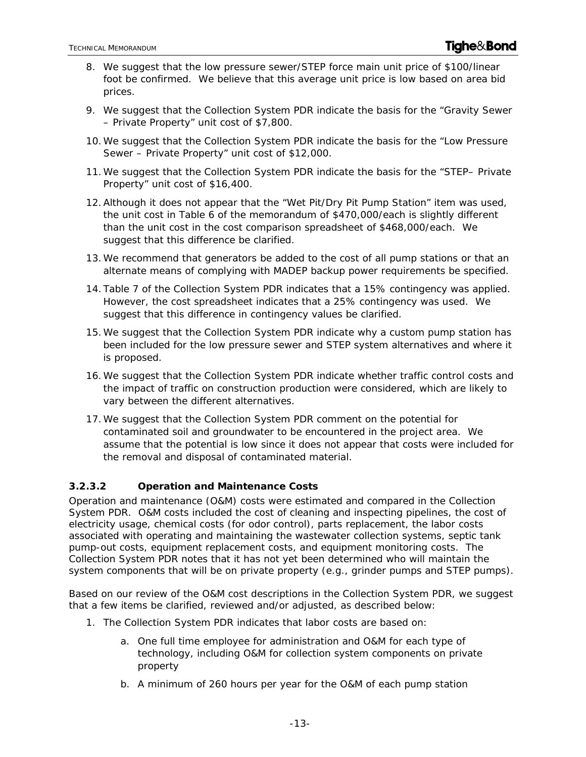- 8. We suggest that the low pressure sewer/STEP force main unit price of \$100/linear foot be confirmed. We believe that this average unit price is low based on area bid prices.
- 9. We suggest that the Collection System PDR indicate the basis for the "Gravity Sewer – Private Property" unit cost of \$7,800.
- 10.We suggest that the Collection System PDR indicate the basis for the "Low Pressure Sewer – Private Property" unit cost of \$12,000.
- 11.We suggest that the Collection System PDR indicate the basis for the "STEP– Private Property" unit cost of \$16,400.
- 12.Although it does not appear that the "Wet Pit/Dry Pit Pump Station" item was used, the unit cost in Table 6 of the memorandum of \$470,000/each is slightly different than the unit cost in the cost comparison spreadsheet of \$468,000/each. We suggest that this difference be clarified.
- 13.We recommend that generators be added to the cost of all pump stations or that an alternate means of complying with MADEP backup power requirements be specified.
- 14. Table 7 of the Collection System PDR indicates that a 15% contingency was applied. However, the cost spreadsheet indicates that a 25% contingency was used. We suggest that this difference in contingency values be clarified.
- 15.We suggest that the Collection System PDR indicate why a custom pump station has been included for the low pressure sewer and STEP system alternatives and where it is proposed.
- 16.We suggest that the Collection System PDR indicate whether traffic control costs and the impact of traffic on construction production were considered, which are likely to vary between the different alternatives.
- 17.We suggest that the Collection System PDR comment on the potential for contaminated soil and groundwater to be encountered in the project area. We assume that the potential is low since it does not appear that costs were included for the removal and disposal of contaminated material.

#### **3.2.3.2 Operation and Maintenance Costs**

Operation and maintenance (O&M) costs were estimated and compared in the Collection System PDR. O&M costs included the cost of cleaning and inspecting pipelines, the cost of electricity usage, chemical costs (for odor control), parts replacement, the labor costs associated with operating and maintaining the wastewater collection systems, septic tank pump-out costs, equipment replacement costs, and equipment monitoring costs. The Collection System PDR notes that it has not yet been determined who will maintain the system components that will be on private property (e.g., grinder pumps and STEP pumps).

Based on our review of the O&M cost descriptions in the Collection System PDR, we suggest that a few items be clarified, reviewed and/or adjusted, as described below:

- 1. The Collection System PDR indicates that labor costs are based on:
	- a. One full time employee for administration and O&M for each type of technology, including O&M for collection system components on private property
	- b. A minimum of 260 hours per year for the O&M of each pump station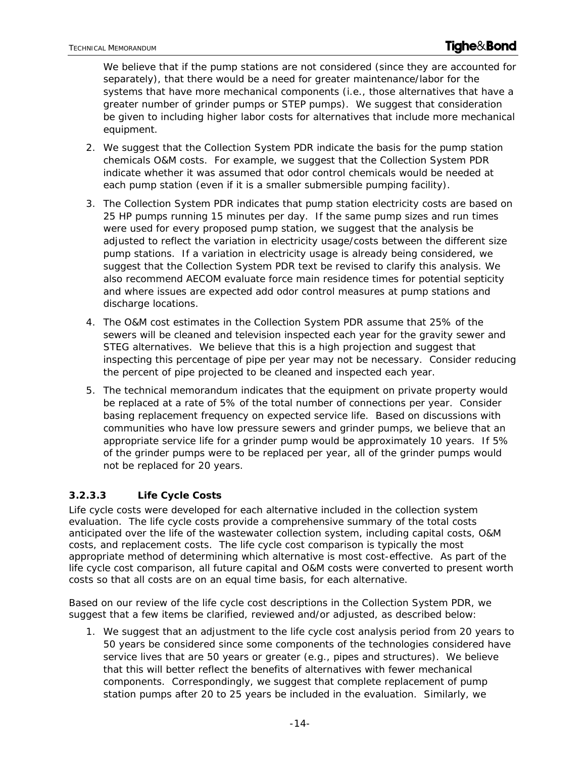We believe that if the pump stations are not considered (since they are accounted for separately), that there would be a need for greater maintenance/labor for the systems that have more mechanical components (i.e., those alternatives that have a greater number of grinder pumps or STEP pumps). We suggest that consideration be given to including higher labor costs for alternatives that include more mechanical equipment.

- 2. We suggest that the Collection System PDR indicate the basis for the pump station chemicals O&M costs. For example, we suggest that the Collection System PDR indicate whether it was assumed that odor control chemicals would be needed at each pump station (even if it is a smaller submersible pumping facility).
- 3. The Collection System PDR indicates that pump station electricity costs are based on 25 HP pumps running 15 minutes per day. If the same pump sizes and run times were used for every proposed pump station, we suggest that the analysis be adjusted to reflect the variation in electricity usage/costs between the different size pump stations. If a variation in electricity usage is already being considered, we suggest that the Collection System PDR text be revised to clarify this analysis. We also recommend AECOM evaluate force main residence times for potential septicity and where issues are expected add odor control measures at pump stations and discharge locations.
- 4. The O&M cost estimates in the Collection System PDR assume that 25% of the sewers will be cleaned and television inspected each year for the gravity sewer and STEG alternatives. We believe that this is a high projection and suggest that inspecting this percentage of pipe per year may not be necessary. Consider reducing the percent of pipe projected to be cleaned and inspected each year.
- 5. The technical memorandum indicates that the equipment on private property would be replaced at a rate of 5% of the total number of connections per year. Consider basing replacement frequency on expected service life. Based on discussions with communities who have low pressure sewers and grinder pumps, we believe that an appropriate service life for a grinder pump would be approximately 10 years. If 5% of the grinder pumps were to be replaced per year, all of the grinder pumps would not be replaced for 20 years.

### **3.2.3.3 Life Cycle Costs**

Life cycle costs were developed for each alternative included in the collection system evaluation. The life cycle costs provide a comprehensive summary of the total costs anticipated over the life of the wastewater collection system, including capital costs, O&M costs, and replacement costs. The life cycle cost comparison is typically the most appropriate method of determining which alternative is most cost-effective. As part of the life cycle cost comparison, all future capital and O&M costs were converted to present worth costs so that all costs are on an equal time basis, for each alternative.

Based on our review of the life cycle cost descriptions in the Collection System PDR, we suggest that a few items be clarified, reviewed and/or adjusted, as described below:

1. We suggest that an adjustment to the life cycle cost analysis period from 20 years to 50 years be considered since some components of the technologies considered have service lives that are 50 years or greater (e.g., pipes and structures). We believe that this will better reflect the benefits of alternatives with fewer mechanical components. Correspondingly, we suggest that complete replacement of pump station pumps after 20 to 25 years be included in the evaluation. Similarly, we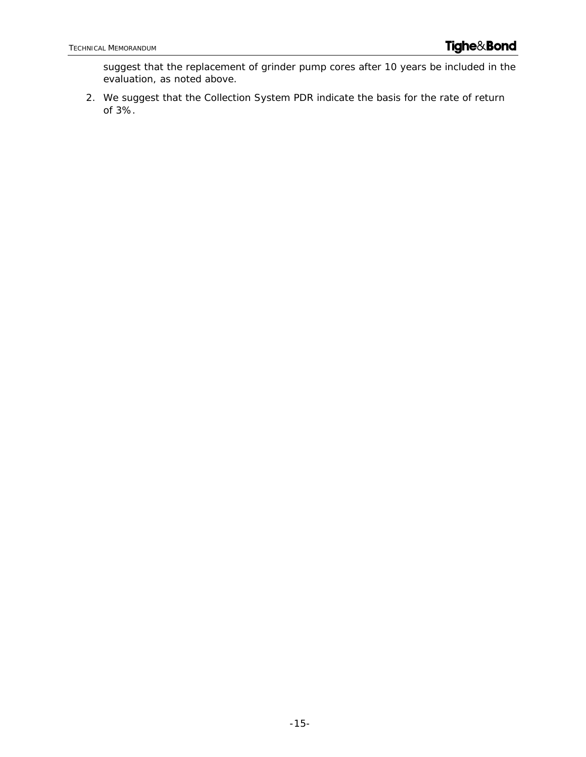suggest that the replacement of grinder pump cores after 10 years be included in the evaluation, as noted above.

2. We suggest that the Collection System PDR indicate the basis for the rate of return of 3%.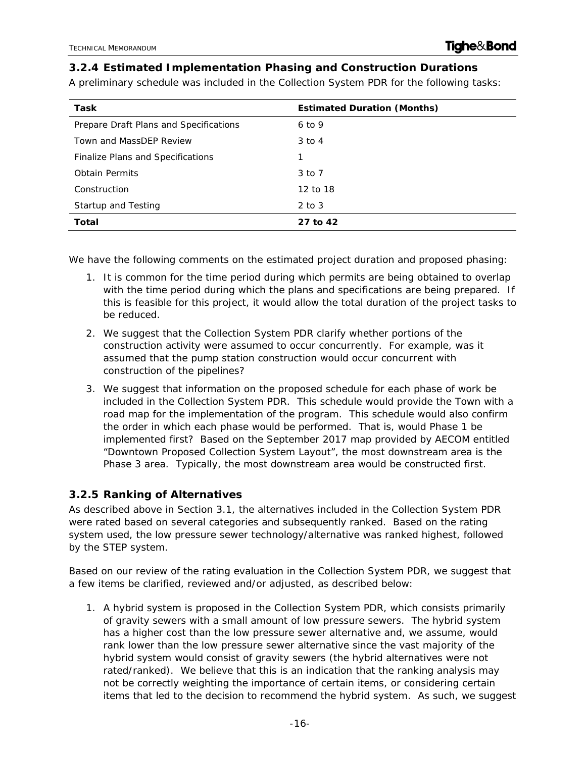#### **3.2.4 Estimated Implementation Phasing and Construction Durations**

A preliminary schedule was included in the Collection System PDR for the following tasks:

| Task                                   | <b>Estimated Duration (Months)</b> |
|----------------------------------------|------------------------------------|
| Prepare Draft Plans and Specifications | $6$ to 9                           |
| Town and MassDEP Review                | $3$ to $4$                         |
| Finalize Plans and Specifications      | 1                                  |
| <b>Obtain Permits</b>                  | 3 to 7                             |
| Construction                           | 12 to 18                           |
| Startup and Testing                    | $2$ to $3$                         |
| Total                                  | 27 to 42                           |

We have the following comments on the estimated project duration and proposed phasing:

- 1. It is common for the time period during which permits are being obtained to overlap with the time period during which the plans and specifications are being prepared. If this is feasible for this project, it would allow the total duration of the project tasks to be reduced.
- 2. We suggest that the Collection System PDR clarify whether portions of the construction activity were assumed to occur concurrently. For example, was it assumed that the pump station construction would occur concurrent with construction of the pipelines?
- 3. We suggest that information on the proposed schedule for each phase of work be included in the Collection System PDR. This schedule would provide the Town with a road map for the implementation of the program. This schedule would also confirm the order in which each phase would be performed. That is, would Phase 1 be implemented first? Based on the September 2017 map provided by AECOM entitled "Downtown Proposed Collection System Layout", the most downstream area is the Phase 3 area. Typically, the most downstream area would be constructed first.

#### **3.2.5 Ranking of Alternatives**

As described above in Section 3.1, the alternatives included in the Collection System PDR were rated based on several categories and subsequently ranked. Based on the rating system used, the low pressure sewer technology/alternative was ranked highest, followed by the STEP system.

Based on our review of the rating evaluation in the Collection System PDR, we suggest that a few items be clarified, reviewed and/or adjusted, as described below:

1. A hybrid system is proposed in the Collection System PDR, which consists primarily of gravity sewers with a small amount of low pressure sewers. The hybrid system has a higher cost than the low pressure sewer alternative and, we assume, would rank lower than the low pressure sewer alternative since the vast majority of the hybrid system would consist of gravity sewers (the hybrid alternatives were not rated/ranked). We believe that this is an indication that the ranking analysis may not be correctly weighting the importance of certain items, or considering certain items that led to the decision to recommend the hybrid system. As such, we suggest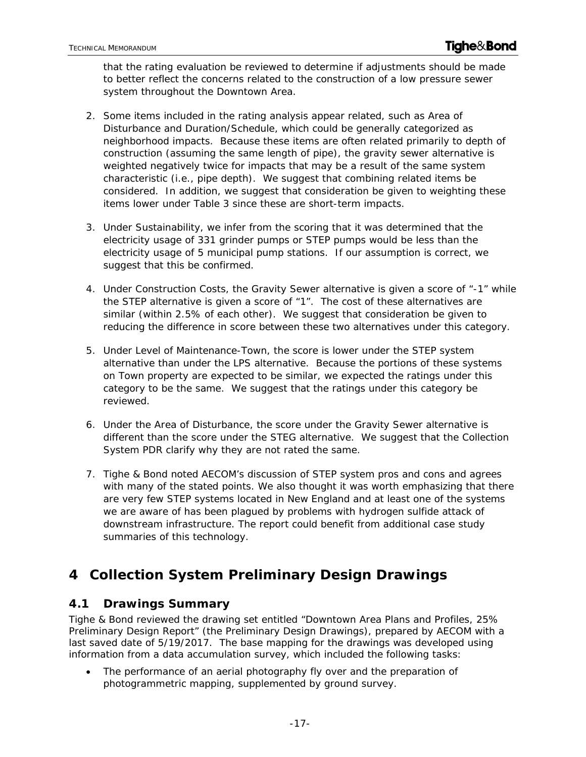that the rating evaluation be reviewed to determine if adjustments should be made to better reflect the concerns related to the construction of a low pressure sewer system throughout the Downtown Area.

- 2. Some items included in the rating analysis appear related, such as Area of Disturbance and Duration/Schedule, which could be generally categorized as neighborhood impacts. Because these items are often related primarily to depth of construction (assuming the same length of pipe), the gravity sewer alternative is weighted negatively twice for impacts that may be a result of the same system characteristic (i.e., pipe depth). We suggest that combining related items be considered. In addition, we suggest that consideration be given to weighting these items lower under Table 3 since these are short-term impacts.
- 3. Under Sustainability, we infer from the scoring that it was determined that the electricity usage of 331 grinder pumps or STEP pumps would be less than the electricity usage of 5 municipal pump stations. If our assumption is correct, we suggest that this be confirmed.
- 4. Under Construction Costs, the Gravity Sewer alternative is given a score of "-1" while the STEP alternative is given a score of "1". The cost of these alternatives are similar (within 2.5% of each other). We suggest that consideration be given to reducing the difference in score between these two alternatives under this category.
- 5. Under Level of Maintenance-Town, the score is lower under the STEP system alternative than under the LPS alternative. Because the portions of these systems on Town property are expected to be similar, we expected the ratings under this category to be the same. We suggest that the ratings under this category be reviewed.
- 6. Under the Area of Disturbance, the score under the Gravity Sewer alternative is different than the score under the STEG alternative. We suggest that the Collection System PDR clarify why they are not rated the same.
- 7. Tighe & Bond noted AECOM's discussion of STEP system pros and cons and agrees with many of the stated points. We also thought it was worth emphasizing that there are very few STEP systems located in New England and at least one of the systems we are aware of has been plagued by problems with hydrogen sulfide attack of downstream infrastructure. The report could benefit from additional case study summaries of this technology.

# **4 Collection System Preliminary Design Drawings**

## **4.1 Drawings Summary**

Tighe & Bond reviewed the drawing set entitled "Downtown Area Plans and Profiles, 25% Preliminary Design Report" (the Preliminary Design Drawings), prepared by AECOM with a last saved date of 5/19/2017. The base mapping for the drawings was developed using information from a data accumulation survey, which included the following tasks:

 The performance of an aerial photography fly over and the preparation of photogrammetric mapping, supplemented by ground survey.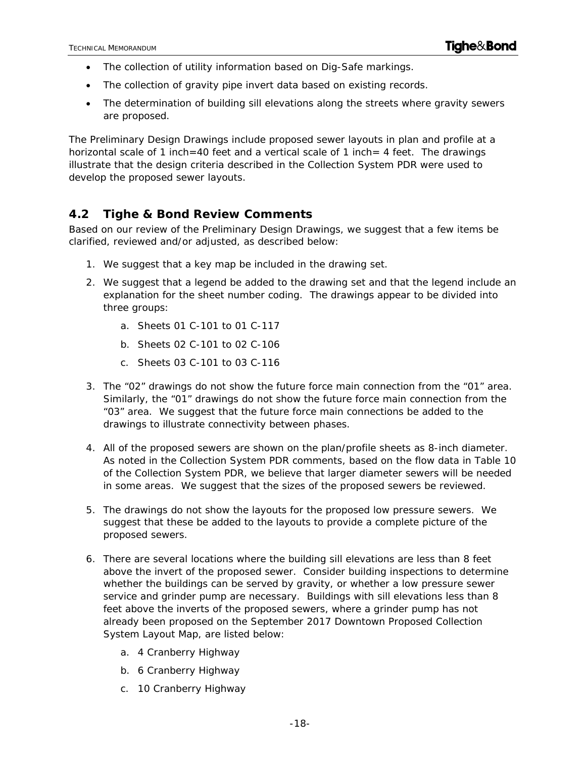- The collection of utility information based on Dig-Safe markings.
- The collection of gravity pipe invert data based on existing records.
- The determination of building sill elevations along the streets where gravity sewers are proposed.

The Preliminary Design Drawings include proposed sewer layouts in plan and profile at a horizontal scale of 1 inch=40 feet and a vertical scale of 1 inch= 4 feet. The drawings illustrate that the design criteria described in the Collection System PDR were used to develop the proposed sewer layouts.

### **4.2 Tighe & Bond Review Comments**

Based on our review of the Preliminary Design Drawings, we suggest that a few items be clarified, reviewed and/or adjusted, as described below:

- 1. We suggest that a key map be included in the drawing set.
- 2. We suggest that a legend be added to the drawing set and that the legend include an explanation for the sheet number coding. The drawings appear to be divided into three groups:
	- a. Sheets 01 C-101 to 01 C-117
	- b. Sheets 02 C-101 to 02 C-106
	- c. Sheets 03 C-101 to 03 C-116
- 3. The "02" drawings do not show the future force main connection from the "01" area. Similarly, the "01" drawings do not show the future force main connection from the "03" area. We suggest that the future force main connections be added to the drawings to illustrate connectivity between phases.
- 4. All of the proposed sewers are shown on the plan/profile sheets as 8-inch diameter. As noted in the Collection System PDR comments, based on the flow data in Table 10 of the Collection System PDR, we believe that larger diameter sewers will be needed in some areas. We suggest that the sizes of the proposed sewers be reviewed.
- 5. The drawings do not show the layouts for the proposed low pressure sewers. We suggest that these be added to the layouts to provide a complete picture of the proposed sewers.
- 6. There are several locations where the building sill elevations are less than 8 feet above the invert of the proposed sewer. Consider building inspections to determine whether the buildings can be served by gravity, or whether a low pressure sewer service and grinder pump are necessary. Buildings with sill elevations less than 8 feet above the inverts of the proposed sewers, where a grinder pump has not already been proposed on the September 2017 Downtown Proposed Collection System Layout Map, are listed below:
	- a. 4 Cranberry Highway
	- b. 6 Cranberry Highway
	- c. 10 Cranberry Highway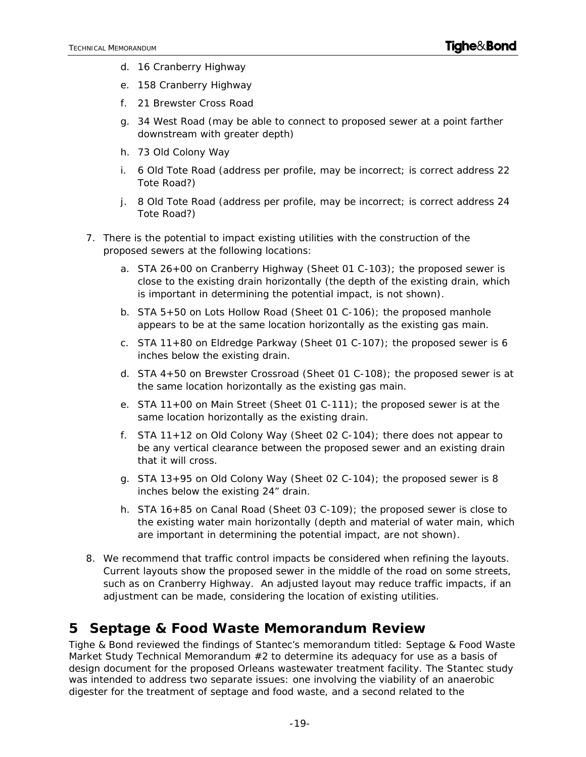- d. 16 Cranberry Highway
- e. 158 Cranberry Highway
- f. 21 Brewster Cross Road
- g. 34 West Road (may be able to connect to proposed sewer at a point farther downstream with greater depth)
- h. 73 Old Colony Way
- i. 6 Old Tote Road (address per profile, may be incorrect; is correct address 22 Tote Road?)
- j. 8 Old Tote Road (address per profile, may be incorrect; is correct address 24 Tote Road?)
- 7. There is the potential to impact existing utilities with the construction of the proposed sewers at the following locations:
	- a. STA 26+00 on Cranberry Highway (Sheet 01 C-103); the proposed sewer is close to the existing drain horizontally (the depth of the existing drain, which is important in determining the potential impact, is not shown).
	- b. STA 5+50 on Lots Hollow Road (Sheet 01 C-106); the proposed manhole appears to be at the same location horizontally as the existing gas main.
	- c. STA 11+80 on Eldredge Parkway (Sheet 01 C-107); the proposed sewer is 6 inches below the existing drain.
	- d. STA 4+50 on Brewster Crossroad (Sheet 01 C-108); the proposed sewer is at the same location horizontally as the existing gas main.
	- e. STA 11+00 on Main Street (Sheet 01 C-111); the proposed sewer is at the same location horizontally as the existing drain.
	- f. STA 11+12 on Old Colony Way (Sheet 02 C-104); there does not appear to be any vertical clearance between the proposed sewer and an existing drain that it will cross.
	- g. STA 13+95 on Old Colony Way (Sheet 02 C-104); the proposed sewer is 8 inches below the existing 24" drain.
	- h. STA 16+85 on Canal Road (Sheet 03 C-109); the proposed sewer is close to the existing water main horizontally (depth and material of water main, which are important in determining the potential impact, are not shown).
- 8. We recommend that traffic control impacts be considered when refining the layouts. Current layouts show the proposed sewer in the middle of the road on some streets, such as on Cranberry Highway. An adjusted layout may reduce traffic impacts, if an adjustment can be made, considering the location of existing utilities.

## **5 Septage & Food Waste Memorandum Review**

Tighe & Bond reviewed the findings of Stantec's memorandum titled: *Septage & Food Waste Market Study Technical Memorandum #2* to determine its adequacy for use as a basis of design document for the proposed Orleans wastewater treatment facility. The Stantec study was intended to address two separate issues: one involving the viability of an anaerobic digester for the treatment of septage and food waste, and a second related to the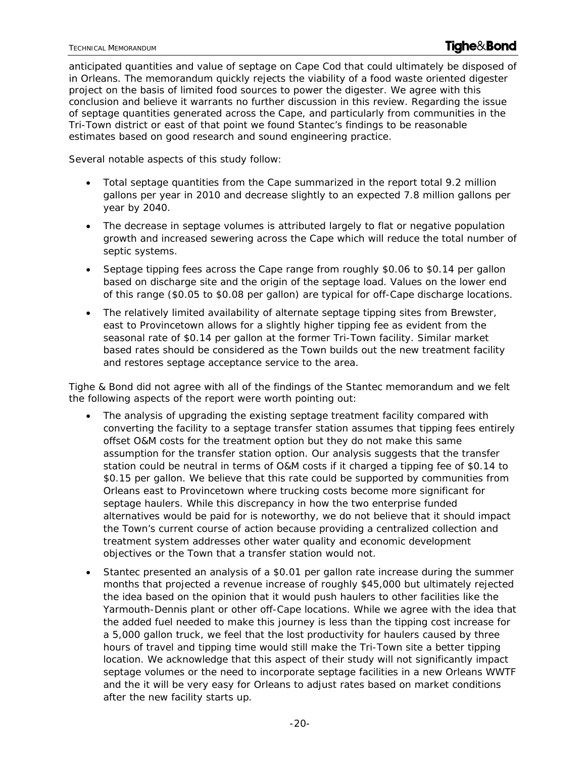anticipated quantities and value of septage on Cape Cod that could ultimately be disposed of in Orleans. The memorandum quickly rejects the viability of a food waste oriented digester project on the basis of limited food sources to power the digester. We agree with this conclusion and believe it warrants no further discussion in this review. Regarding the issue of septage quantities generated across the Cape, and particularly from communities in the Tri-Town district or east of that point we found Stantec's findings to be reasonable estimates based on good research and sound engineering practice.

Several notable aspects of this study follow:

- Total septage quantities from the Cape summarized in the report total 9.2 million gallons per year in 2010 and decrease slightly to an expected 7.8 million gallons per year by 2040.
- The decrease in septage volumes is attributed largely to flat or negative population growth and increased sewering across the Cape which will reduce the total number of septic systems.
- Septage tipping fees across the Cape range from roughly \$0.06 to \$0.14 per gallon based on discharge site and the origin of the septage load. Values on the lower end of this range (\$0.05 to \$0.08 per gallon) are typical for off-Cape discharge locations.
- The relatively limited availability of alternate septage tipping sites from Brewster, east to Provincetown allows for a slightly higher tipping fee as evident from the seasonal rate of \$0.14 per gallon at the former Tri-Town facility. Similar market based rates should be considered as the Town builds out the new treatment facility and restores septage acceptance service to the area.

Tighe & Bond did not agree with all of the findings of the Stantec memorandum and we felt the following aspects of the report were worth pointing out:

- The analysis of upgrading the existing septage treatment facility compared with converting the facility to a septage transfer station assumes that tipping fees entirely offset O&M costs for the treatment option but they do not make this same assumption for the transfer station option. Our analysis suggests that the transfer station could be neutral in terms of O&M costs if it charged a tipping fee of \$0.14 to \$0.15 per gallon. We believe that this rate could be supported by communities from Orleans east to Provincetown where trucking costs become more significant for septage haulers. While this discrepancy in how the two enterprise funded alternatives would be paid for is noteworthy, we do not believe that it should impact the Town's current course of action because providing a centralized collection and treatment system addresses other water quality and economic development objectives or the Town that a transfer station would not.
- Stantec presented an analysis of a \$0.01 per gallon rate increase during the summer months that projected a revenue increase of roughly \$45,000 but ultimately rejected the idea based on the opinion that it would push haulers to other facilities like the Yarmouth-Dennis plant or other off-Cape locations. While we agree with the idea that the added fuel needed to make this journey is less than the tipping cost increase for a 5,000 gallon truck, we feel that the lost productivity for haulers caused by three hours of travel and tipping time would still make the Tri-Town site a better tipping location. We acknowledge that this aspect of their study will not significantly impact septage volumes or the need to incorporate septage facilities in a new Orleans WWTF and the it will be very easy for Orleans to adjust rates based on market conditions after the new facility starts up.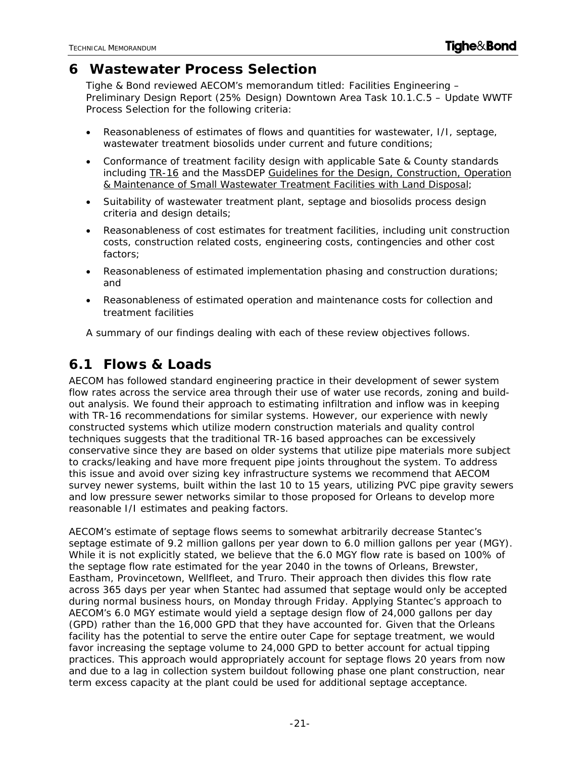## **6 Wastewater Process Selection**

Tighe & Bond reviewed AECOM's memorandum titled: Facilities Engineering – Preliminary Design Report (25% Design) Downtown Area Task 10.1.C.5 – Update WWTF Process Selection for the following criteria:

- Reasonableness of estimates of flows and quantities for wastewater, I/I, septage, wastewater treatment biosolids under current and future conditions;
- Conformance of treatment facility design with applicable Sate & County standards including TR-16 and the MassDEP Guidelines for the Design, Construction, Operation & Maintenance of Small Wastewater Treatment Facilities with Land Disposal;
- Suitability of wastewater treatment plant, septage and biosolids process design criteria and design details;
- Reasonableness of cost estimates for treatment facilities, including unit construction costs, construction related costs, engineering costs, contingencies and other cost factors;
- Reasonableness of estimated implementation phasing and construction durations; and
- Reasonableness of estimated operation and maintenance costs for collection and treatment facilities

A summary of our findings dealing with each of these review objectives follows.

## **6.1 Flows & Loads**

AECOM has followed standard engineering practice in their development of sewer system flow rates across the service area through their use of water use records, zoning and buildout analysis. We found their approach to estimating infiltration and inflow was in keeping with TR-16 recommendations for similar systems. However, our experience with newly constructed systems which utilize modern construction materials and quality control techniques suggests that the traditional TR-16 based approaches can be excessively conservative since they are based on older systems that utilize pipe materials more subject to cracks/leaking and have more frequent pipe joints throughout the system. To address this issue and avoid over sizing key infrastructure systems we recommend that AECOM survey newer systems, built within the last 10 to 15 years, utilizing PVC pipe gravity sewers and low pressure sewer networks similar to those proposed for Orleans to develop more reasonable I/I estimates and peaking factors.

AECOM's estimate of septage flows seems to somewhat arbitrarily decrease Stantec's septage estimate of 9.2 million gallons per year down to 6.0 million gallons per year (MGY). While it is not explicitly stated, we believe that the 6.0 MGY flow rate is based on 100% of the septage flow rate estimated for the year 2040 in the towns of Orleans, Brewster, Eastham, Provincetown, Wellfleet, and Truro. Their approach then divides this flow rate across 365 days per year when Stantec had assumed that septage would only be accepted during normal business hours, on Monday through Friday. Applying Stantec's approach to AECOM's 6.0 MGY estimate would yield a septage design flow of 24,000 gallons per day (GPD) rather than the 16,000 GPD that they have accounted for. Given that the Orleans facility has the potential to serve the entire outer Cape for septage treatment, we would favor increasing the septage volume to 24,000 GPD to better account for actual tipping practices. This approach would appropriately account for septage flows 20 years from now and due to a lag in collection system buildout following phase one plant construction, near term excess capacity at the plant could be used for additional septage acceptance.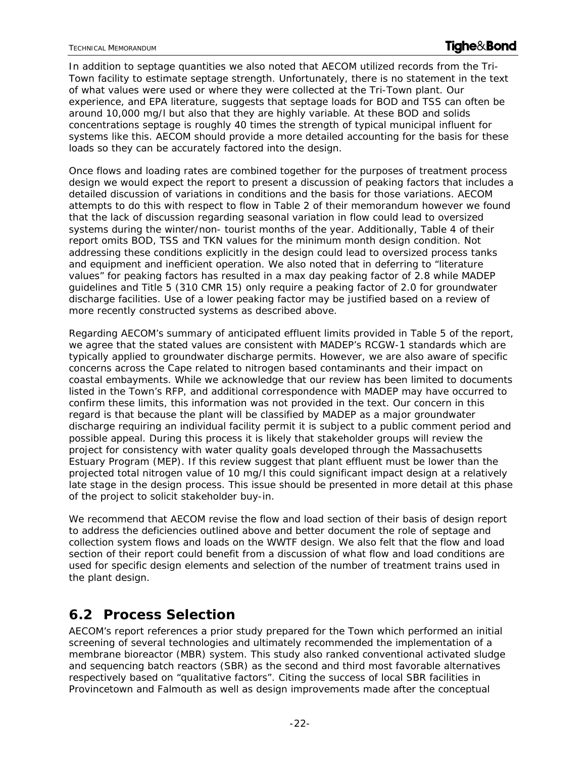#### TECHNICAL MEMORANDUM **Technical Memorandum**

In addition to septage quantities we also noted that AECOM utilized records from the Tri-Town facility to estimate septage strength. Unfortunately, there is no statement in the text of what values were used or where they were collected at the Tri-Town plant. Our experience, and EPA literature, suggests that septage loads for BOD and TSS can often be around 10,000 mg/l but also that they are highly variable. At these BOD and solids concentrations septage is roughly 40 times the strength of typical municipal influent for systems like this. AECOM should provide a more detailed accounting for the basis for these loads so they can be accurately factored into the design.

Once flows and loading rates are combined together for the purposes of treatment process design we would expect the report to present a discussion of peaking factors that includes a detailed discussion of variations in conditions and the basis for those variations. AECOM attempts to do this with respect to flow in Table 2 of their memorandum however we found that the lack of discussion regarding seasonal variation in flow could lead to oversized systems during the winter/non- tourist months of the year. Additionally, Table 4 of their report omits BOD, TSS and TKN values for the minimum month design condition. Not addressing these conditions explicitly in the design could lead to oversized process tanks and equipment and inefficient operation. We also noted that in deferring to "literature values" for peaking factors has resulted in a max day peaking factor of 2.8 while MADEP guidelines and Title 5 (310 CMR 15) only require a peaking factor of 2.0 for groundwater discharge facilities. Use of a lower peaking factor may be justified based on a review of more recently constructed systems as described above.

Regarding AECOM's summary of anticipated effluent limits provided in Table 5 of the report, we agree that the stated values are consistent with MADEP's RCGW-1 standards which are typically applied to groundwater discharge permits. However, we are also aware of specific concerns across the Cape related to nitrogen based contaminants and their impact on coastal embayments. While we acknowledge that our review has been limited to documents listed in the Town's RFP, and additional correspondence with MADEP may have occurred to confirm these limits, this information was not provided in the text. Our concern in this regard is that because the plant will be classified by MADEP as a major groundwater discharge requiring an individual facility permit it is subject to a public comment period and possible appeal. During this process it is likely that stakeholder groups will review the project for consistency with water quality goals developed through the Massachusetts Estuary Program (MEP). If this review suggest that plant effluent must be lower than the projected total nitrogen value of 10 mg/l this could significant impact design at a relatively late stage in the design process. This issue should be presented in more detail at this phase of the project to solicit stakeholder buy-in.

We recommend that AECOM revise the flow and load section of their basis of design report to address the deficiencies outlined above and better document the role of septage and collection system flows and loads on the WWTF design. We also felt that the flow and load section of their report could benefit from a discussion of what flow and load conditions are used for specific design elements and selection of the number of treatment trains used in the plant design.

## **6.2 Process Selection**

AECOM's report references a prior study prepared for the Town which performed an initial screening of several technologies and ultimately recommended the implementation of a membrane bioreactor (MBR) system. This study also ranked conventional activated sludge and sequencing batch reactors (SBR) as the second and third most favorable alternatives respectively based on "qualitative factors". Citing the success of local SBR facilities in Provincetown and Falmouth as well as design improvements made after the conceptual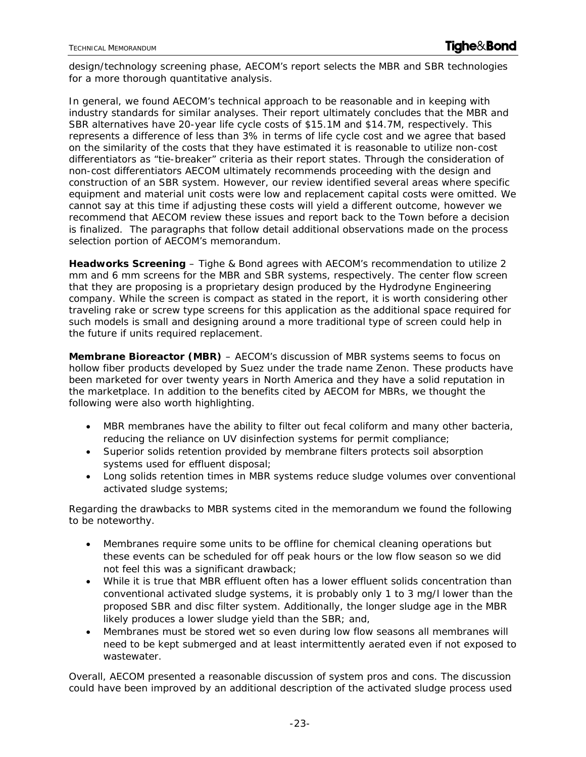design/technology screening phase, AECOM's report selects the MBR and SBR technologies for a more thorough quantitative analysis.

In general, we found AECOM's technical approach to be reasonable and in keeping with industry standards for similar analyses. Their report ultimately concludes that the MBR and SBR alternatives have 20-year life cycle costs of \$15.1M and \$14.7M, respectively. This represents a difference of less than 3% in terms of life cycle cost and we agree that based on the similarity of the costs that they have estimated it is reasonable to utilize non-cost differentiators as "tie-breaker" criteria as their report states. Through the consideration of non-cost differentiators AECOM ultimately recommends proceeding with the design and construction of an SBR system. However, our review identified several areas where specific equipment and material unit costs were low and replacement capital costs were omitted. We cannot say at this time if adjusting these costs will yield a different outcome, however we recommend that AECOM review these issues and report back to the Town before a decision is finalized. The paragraphs that follow detail additional observations made on the process selection portion of AECOM's memorandum.

**Headworks Screening** – Tighe & Bond agrees with AECOM's recommendation to utilize 2 mm and 6 mm screens for the MBR and SBR systems, respectively. The center flow screen that they are proposing is a proprietary design produced by the Hydrodyne Engineering company. While the screen is compact as stated in the report, it is worth considering other traveling rake or screw type screens for this application as the additional space required for such models is small and designing around a more traditional type of screen could help in the future if units required replacement.

**Membrane Bioreactor (MBR)** – AECOM's discussion of MBR systems seems to focus on hollow fiber products developed by Suez under the trade name Zenon. These products have been marketed for over twenty years in North America and they have a solid reputation in the marketplace. In addition to the benefits cited by AECOM for MBRs, we thought the following were also worth highlighting.

- MBR membranes have the ability to filter out fecal coliform and many other bacteria, reducing the reliance on UV disinfection systems for permit compliance;
- Superior solids retention provided by membrane filters protects soil absorption systems used for effluent disposal;
- Long solids retention times in MBR systems reduce sludge volumes over conventional activated sludge systems;

Regarding the drawbacks to MBR systems cited in the memorandum we found the following to be noteworthy.

- Membranes require some units to be offline for chemical cleaning operations but these events can be scheduled for off peak hours or the low flow season so we did not feel this was a significant drawback;
- While it is true that MBR effluent often has a lower effluent solids concentration than conventional activated sludge systems, it is probably only 1 to 3 mg/l lower than the proposed SBR and disc filter system. Additionally, the longer sludge age in the MBR likely produces a lower sludge yield than the SBR; and,
- Membranes must be stored wet so even during low flow seasons all membranes will need to be kept submerged and at least intermittently aerated even if not exposed to wastewater.

Overall, AECOM presented a reasonable discussion of system pros and cons. The discussion could have been improved by an additional description of the activated sludge process used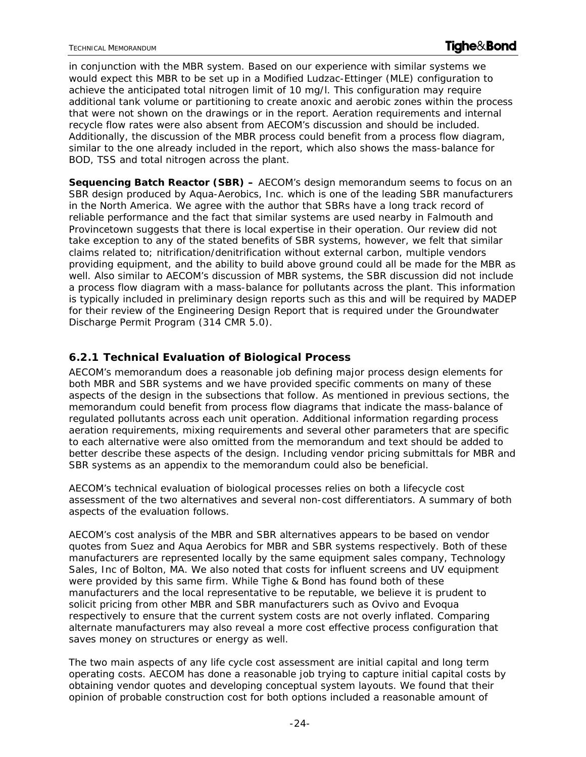in conjunction with the MBR system. Based on our experience with similar systems we would expect this MBR to be set up in a Modified Ludzac-Ettinger (MLE) configuration to achieve the anticipated total nitrogen limit of 10 mg/l. This configuration may require additional tank volume or partitioning to create anoxic and aerobic zones within the process that were not shown on the drawings or in the report. Aeration requirements and internal recycle flow rates were also absent from AECOM's discussion and should be included. Additionally, the discussion of the MBR process could benefit from a process flow diagram, similar to the one already included in the report, which also shows the mass-balance for BOD, TSS and total nitrogen across the plant.

**Sequencing Batch Reactor (SBR) –** AECOM's design memorandum seems to focus on an SBR design produced by Aqua-Aerobics, Inc. which is one of the leading SBR manufacturers in the North America. We agree with the author that SBRs have a long track record of reliable performance and the fact that similar systems are used nearby in Falmouth and Provincetown suggests that there is local expertise in their operation. Our review did not take exception to any of the stated benefits of SBR systems, however, we felt that similar claims related to; nitrification/denitrification without external carbon, multiple vendors providing equipment, and the ability to build above ground could all be made for the MBR as well. Also similar to AECOM's discussion of MBR systems, the SBR discussion did not include a process flow diagram with a mass-balance for pollutants across the plant. This information is typically included in preliminary design reports such as this and will be required by MADEP for their review of the Engineering Design Report that is required under the Groundwater Discharge Permit Program (314 CMR 5.0).

### **6.2.1 Technical Evaluation of Biological Process**

AECOM's memorandum does a reasonable job defining major process design elements for both MBR and SBR systems and we have provided specific comments on many of these aspects of the design in the subsections that follow. As mentioned in previous sections, the memorandum could benefit from process flow diagrams that indicate the mass-balance of regulated pollutants across each unit operation. Additional information regarding process aeration requirements, mixing requirements and several other parameters that are specific to each alternative were also omitted from the memorandum and text should be added to better describe these aspects of the design. Including vendor pricing submittals for MBR and SBR systems as an appendix to the memorandum could also be beneficial.

AECOM's technical evaluation of biological processes relies on both a lifecycle cost assessment of the two alternatives and several non-cost differentiators. A summary of both aspects of the evaluation follows.

AECOM's cost analysis of the MBR and SBR alternatives appears to be based on vendor quotes from Suez and Aqua Aerobics for MBR and SBR systems respectively. Both of these manufacturers are represented locally by the same equipment sales company, Technology Sales, Inc of Bolton, MA. We also noted that costs for influent screens and UV equipment were provided by this same firm. While Tighe & Bond has found both of these manufacturers and the local representative to be reputable, we believe it is prudent to solicit pricing from other MBR and SBR manufacturers such as Ovivo and Evoqua respectively to ensure that the current system costs are not overly inflated. Comparing alternate manufacturers may also reveal a more cost effective process configuration that saves money on structures or energy as well.

The two main aspects of any life cycle cost assessment are initial capital and long term operating costs. AECOM has done a reasonable job trying to capture initial capital costs by obtaining vendor quotes and developing conceptual system layouts. We found that their opinion of probable construction cost for both options included a reasonable amount of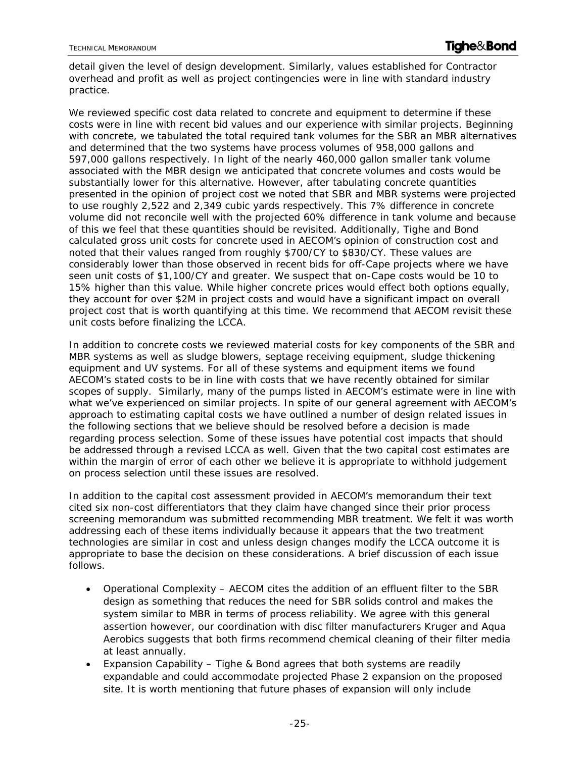detail given the level of design development. Similarly, values established for Contractor overhead and profit as well as project contingencies were in line with standard industry practice.

We reviewed specific cost data related to concrete and equipment to determine if these costs were in line with recent bid values and our experience with similar projects. Beginning with concrete, we tabulated the total required tank volumes for the SBR an MBR alternatives and determined that the two systems have process volumes of 958,000 gallons and 597,000 gallons respectively. In light of the nearly 460,000 gallon smaller tank volume associated with the MBR design we anticipated that concrete volumes and costs would be substantially lower for this alternative. However, after tabulating concrete quantities presented in the opinion of project cost we noted that SBR and MBR systems were projected to use roughly 2,522 and 2,349 cubic yards respectively. This 7% difference in concrete volume did not reconcile well with the projected 60% difference in tank volume and because of this we feel that these quantities should be revisited. Additionally, Tighe and Bond calculated gross unit costs for concrete used in AECOM's opinion of construction cost and noted that their values ranged from roughly \$700/CY to \$830/CY. These values are considerably lower than those observed in recent bids for off-Cape projects where we have seen unit costs of \$1,100/CY and greater. We suspect that on-Cape costs would be 10 to 15% higher than this value. While higher concrete prices would effect both options equally, they account for over \$2M in project costs and would have a significant impact on overall project cost that is worth quantifying at this time. We recommend that AECOM revisit these unit costs before finalizing the LCCA.

In addition to concrete costs we reviewed material costs for key components of the SBR and MBR systems as well as sludge blowers, septage receiving equipment, sludge thickening equipment and UV systems. For all of these systems and equipment items we found AECOM's stated costs to be in line with costs that we have recently obtained for similar scopes of supply. Similarly, many of the pumps listed in AECOM's estimate were in line with what we've experienced on similar projects. In spite of our general agreement with AECOM's approach to estimating capital costs we have outlined a number of design related issues in the following sections that we believe should be resolved before a decision is made regarding process selection. Some of these issues have potential cost impacts that should be addressed through a revised LCCA as well. Given that the two capital cost estimates are within the margin of error of each other we believe it is appropriate to withhold judgement on process selection until these issues are resolved.

In addition to the capital cost assessment provided in AECOM's memorandum their text cited six non-cost differentiators that they claim have changed since their prior process screening memorandum was submitted recommending MBR treatment. We felt it was worth addressing each of these items individually because it appears that the two treatment technologies are similar in cost and unless design changes modify the LCCA outcome it is appropriate to base the decision on these considerations. A brief discussion of each issue follows.

- Operational Complexity AECOM cites the addition of an effluent filter to the SBR design as something that reduces the need for SBR solids control and makes the system similar to MBR in terms of process reliability. We agree with this general assertion however, our coordination with disc filter manufacturers Kruger and Aqua Aerobics suggests that both firms recommend chemical cleaning of their filter media at least annually.
- Expansion Capability Tighe & Bond agrees that both systems are readily expandable and could accommodate projected Phase 2 expansion on the proposed site. It is worth mentioning that future phases of expansion will only include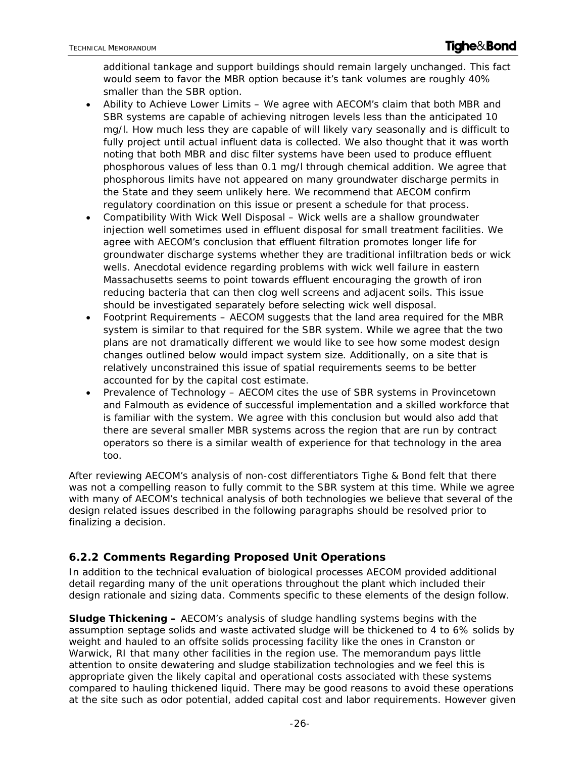additional tankage and support buildings should remain largely unchanged. This fact would seem to favor the MBR option because it's tank volumes are roughly 40% smaller than the SBR option.

- Ability to Achieve Lower Limits We agree with AECOM's claim that both MBR and SBR systems are capable of achieving nitrogen levels less than the anticipated 10 mg/l. How much less they are capable of will likely vary seasonally and is difficult to fully project until actual influent data is collected. We also thought that it was worth noting that both MBR and disc filter systems have been used to produce effluent phosphorous values of less than 0.1 mg/l through chemical addition. We agree that phosphorous limits have not appeared on many groundwater discharge permits in the State and they seem unlikely here. We recommend that AECOM confirm regulatory coordination on this issue or present a schedule for that process.
- Compatibility With Wick Well Disposal Wick wells are a shallow groundwater injection well sometimes used in effluent disposal for small treatment facilities. We agree with AECOM's conclusion that effluent filtration promotes longer life for groundwater discharge systems whether they are traditional infiltration beds or wick wells. Anecdotal evidence regarding problems with wick well failure in eastern Massachusetts seems to point towards effluent encouraging the growth of iron reducing bacteria that can then clog well screens and adjacent soils. This issue should be investigated separately before selecting wick well disposal.
- Footprint Requirements AECOM suggests that the land area required for the MBR system is similar to that required for the SBR system. While we agree that the two plans are not dramatically different we would like to see how some modest design changes outlined below would impact system size. Additionally, on a site that is relatively unconstrained this issue of spatial requirements seems to be better accounted for by the capital cost estimate.
- Prevalence of Technology AECOM cites the use of SBR systems in Provincetown and Falmouth as evidence of successful implementation and a skilled workforce that is familiar with the system. We agree with this conclusion but would also add that there are several smaller MBR systems across the region that are run by contract operators so there is a similar wealth of experience for that technology in the area too.

After reviewing AECOM's analysis of non-cost differentiators Tighe & Bond felt that there was not a compelling reason to fully commit to the SBR system at this time. While we agree with many of AECOM's technical analysis of both technologies we believe that several of the design related issues described in the following paragraphs should be resolved prior to finalizing a decision.

### **6.2.2 Comments Regarding Proposed Unit Operations**

In addition to the technical evaluation of biological processes AECOM provided additional detail regarding many of the unit operations throughout the plant which included their design rationale and sizing data. Comments specific to these elements of the design follow.

**Sludge Thickening –** AECOM's analysis of sludge handling systems begins with the assumption septage solids and waste activated sludge will be thickened to 4 to 6% solids by weight and hauled to an offsite solids processing facility like the ones in Cranston or Warwick, RI that many other facilities in the region use. The memorandum pays little attention to onsite dewatering and sludge stabilization technologies and we feel this is appropriate given the likely capital and operational costs associated with these systems compared to hauling thickened liquid. There may be good reasons to avoid these operations at the site such as odor potential, added capital cost and labor requirements. However given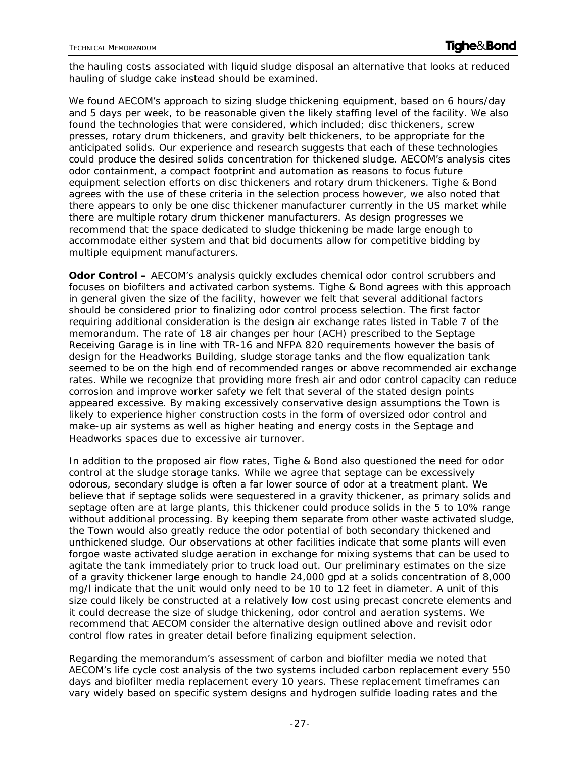the hauling costs associated with liquid sludge disposal an alternative that looks at reduced hauling of sludge cake instead should be examined.

We found AECOM's approach to sizing sludge thickening equipment, based on 6 hours/day and 5 days per week, to be reasonable given the likely staffing level of the facility. We also found the technologies that were considered, which included; disc thickeners, screw presses, rotary drum thickeners, and gravity belt thickeners, to be appropriate for the anticipated solids. Our experience and research suggests that each of these technologies could produce the desired solids concentration for thickened sludge. AECOM's analysis cites odor containment, a compact footprint and automation as reasons to focus future equipment selection efforts on disc thickeners and rotary drum thickeners. Tighe & Bond agrees with the use of these criteria in the selection process however, we also noted that there appears to only be one disc thickener manufacturer currently in the US market while there are multiple rotary drum thickener manufacturers. As design progresses we recommend that the space dedicated to sludge thickening be made large enough to accommodate either system and that bid documents allow for competitive bidding by multiple equipment manufacturers.

**Odor Control –** AECOM's analysis quickly excludes chemical odor control scrubbers and focuses on biofilters and activated carbon systems. Tighe & Bond agrees with this approach in general given the size of the facility, however we felt that several additional factors should be considered prior to finalizing odor control process selection. The first factor requiring additional consideration is the design air exchange rates listed in Table 7 of the memorandum. The rate of 18 air changes per hour (ACH) prescribed to the Septage Receiving Garage is in line with TR-16 and NFPA 820 requirements however the basis of design for the Headworks Building, sludge storage tanks and the flow equalization tank seemed to be on the high end of recommended ranges or above recommended air exchange rates. While we recognize that providing more fresh air and odor control capacity can reduce corrosion and improve worker safety we felt that several of the stated design points appeared excessive. By making excessively conservative design assumptions the Town is likely to experience higher construction costs in the form of oversized odor control and make-up air systems as well as higher heating and energy costs in the Septage and Headworks spaces due to excessive air turnover.

In addition to the proposed air flow rates, Tighe & Bond also questioned the need for odor control at the sludge storage tanks. While we agree that septage can be excessively odorous, secondary sludge is often a far lower source of odor at a treatment plant. We believe that if septage solids were sequestered in a gravity thickener, as primary solids and septage often are at large plants, this thickener could produce solids in the 5 to 10% range without additional processing. By keeping them separate from other waste activated sludge, the Town would also greatly reduce the odor potential of both secondary thickened and unthickened sludge. Our observations at other facilities indicate that some plants will even forgoe waste activated sludge aeration in exchange for mixing systems that can be used to agitate the tank immediately prior to truck load out. Our preliminary estimates on the size of a gravity thickener large enough to handle 24,000 gpd at a solids concentration of 8,000 mg/l indicate that the unit would only need to be 10 to 12 feet in diameter. A unit of this size could likely be constructed at a relatively low cost using precast concrete elements and it could decrease the size of sludge thickening, odor control and aeration systems. We recommend that AECOM consider the alternative design outlined above and revisit odor control flow rates in greater detail before finalizing equipment selection.

Regarding the memorandum's assessment of carbon and biofilter media we noted that AECOM's life cycle cost analysis of the two systems included carbon replacement every 550 days and biofilter media replacement every 10 years. These replacement timeframes can vary widely based on specific system designs and hydrogen sulfide loading rates and the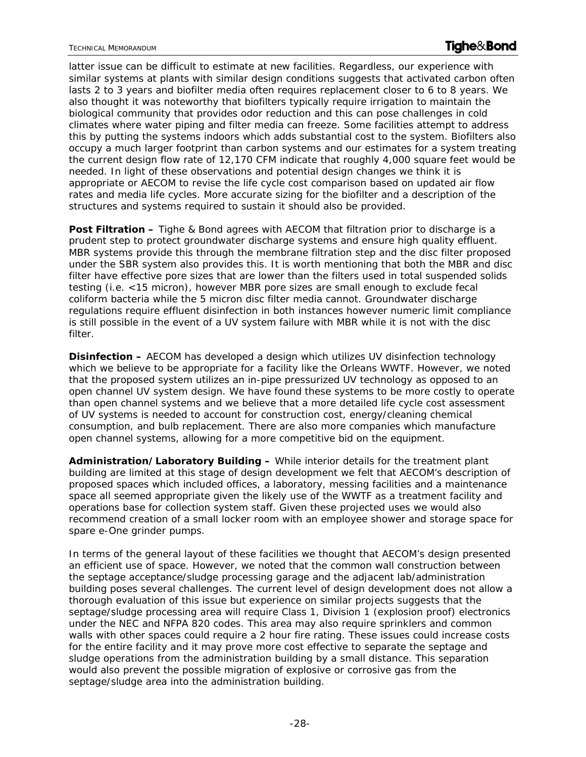latter issue can be difficult to estimate at new facilities. Regardless, our experience with similar systems at plants with similar design conditions suggests that activated carbon often lasts 2 to 3 years and biofilter media often requires replacement closer to 6 to 8 years. We also thought it was noteworthy that biofilters typically require irrigation to maintain the biological community that provides odor reduction and this can pose challenges in cold climates where water piping and filter media can freeze. Some facilities attempt to address this by putting the systems indoors which adds substantial cost to the system. Biofilters also occupy a much larger footprint than carbon systems and our estimates for a system treating the current design flow rate of 12,170 CFM indicate that roughly 4,000 square feet would be needed. In light of these observations and potential design changes we think it is appropriate or AECOM to revise the life cycle cost comparison based on updated air flow rates and media life cycles. More accurate sizing for the biofilter and a description of the structures and systems required to sustain it should also be provided.

**Post Filtration –** Tighe & Bond agrees with AECOM that filtration prior to discharge is a prudent step to protect groundwater discharge systems and ensure high quality effluent. MBR systems provide this through the membrane filtration step and the disc filter proposed under the SBR system also provides this. It is worth mentioning that both the MBR and disc filter have effective pore sizes that are lower than the filters used in total suspended solids testing (i.e. <15 micron), however MBR pore sizes are small enough to exclude fecal coliform bacteria while the 5 micron disc filter media cannot. Groundwater discharge regulations require effluent disinfection in both instances however numeric limit compliance is still possible in the event of a UV system failure with MBR while it is not with the disc filter.

**Disinfection –** AECOM has developed a design which utilizes UV disinfection technology which we believe to be appropriate for a facility like the Orleans WWTF. However, we noted that the proposed system utilizes an in-pipe pressurized UV technology as opposed to an open channel UV system design. We have found these systems to be more costly to operate than open channel systems and we believe that a more detailed life cycle cost assessment of UV systems is needed to account for construction cost, energy/cleaning chemical consumption, and bulb replacement. There are also more companies which manufacture open channel systems, allowing for a more competitive bid on the equipment.

**Administration/Laboratory Building –** While interior details for the treatment plant building are limited at this stage of design development we felt that AECOM's description of proposed spaces which included offices, a laboratory, messing facilities and a maintenance space all seemed appropriate given the likely use of the WWTF as a treatment facility and operations base for collection system staff. Given these projected uses we would also recommend creation of a small locker room with an employee shower and storage space for spare e-One grinder pumps.

In terms of the general layout of these facilities we thought that AECOM's design presented an efficient use of space. However, we noted that the common wall construction between the septage acceptance/sludge processing garage and the adjacent lab/administration building poses several challenges. The current level of design development does not allow a thorough evaluation of this issue but experience on similar projects suggests that the septage/sludge processing area will require Class 1, Division 1 (explosion proof) electronics under the NEC and NFPA 820 codes. This area may also require sprinklers and common walls with other spaces could require a 2 hour fire rating. These issues could increase costs for the entire facility and it may prove more cost effective to separate the septage and sludge operations from the administration building by a small distance. This separation would also prevent the possible migration of explosive or corrosive gas from the septage/sludge area into the administration building.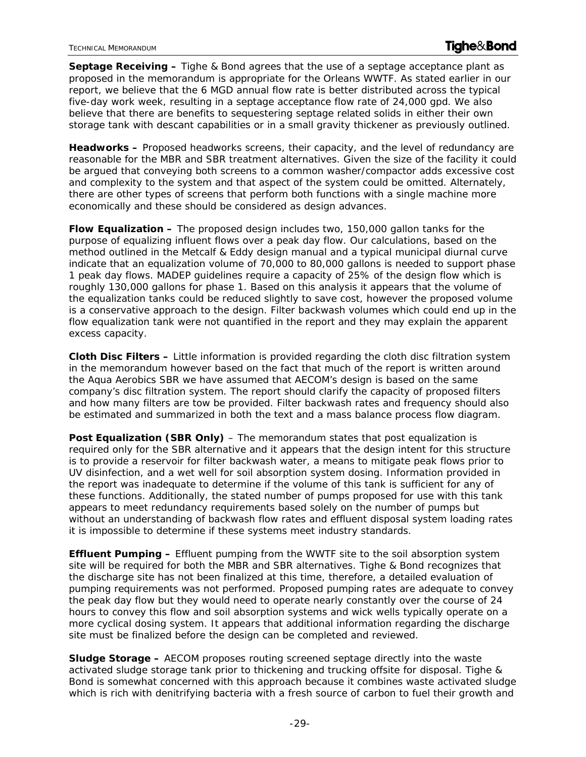**Septage Receiving –** Tighe & Bond agrees that the use of a septage acceptance plant as proposed in the memorandum is appropriate for the Orleans WWTF. As stated earlier in our report, we believe that the 6 MGD annual flow rate is better distributed across the typical five-day work week, resulting in a septage acceptance flow rate of 24,000 gpd. We also believe that there are benefits to sequestering septage related solids in either their own storage tank with descant capabilities or in a small gravity thickener as previously outlined.

**Headworks –** Proposed headworks screens, their capacity, and the level of redundancy are reasonable for the MBR and SBR treatment alternatives. Given the size of the facility it could be argued that conveying both screens to a common washer/compactor adds excessive cost and complexity to the system and that aspect of the system could be omitted. Alternately, there are other types of screens that perform both functions with a single machine more economically and these should be considered as design advances.

**Flow Equalization –** The proposed design includes two, 150,000 gallon tanks for the purpose of equalizing influent flows over a peak day flow. Our calculations, based on the method outlined in the Metcalf & Eddy design manual and a typical municipal diurnal curve indicate that an equalization volume of 70,000 to 80,000 gallons is needed to support phase 1 peak day flows. MADEP guidelines require a capacity of 25% of the design flow which is roughly 130,000 gallons for phase 1. Based on this analysis it appears that the volume of the equalization tanks could be reduced slightly to save cost, however the proposed volume is a conservative approach to the design. Filter backwash volumes which could end up in the flow equalization tank were not quantified in the report and they may explain the apparent excess capacity.

**Cloth Disc Filters –** Little information is provided regarding the cloth disc filtration system in the memorandum however based on the fact that much of the report is written around the Aqua Aerobics SBR we have assumed that AECOM's design is based on the same company's disc filtration system. The report should clarify the capacity of proposed filters and how many filters are tow be provided. Filter backwash rates and frequency should also be estimated and summarized in both the text and a mass balance process flow diagram.

**Post Equalization (SBR Only)** – The memorandum states that post equalization is required only for the SBR alternative and it appears that the design intent for this structure is to provide a reservoir for filter backwash water, a means to mitigate peak flows prior to UV disinfection, and a wet well for soil absorption system dosing. Information provided in the report was inadequate to determine if the volume of this tank is sufficient for any of these functions. Additionally, the stated number of pumps proposed for use with this tank appears to meet redundancy requirements based solely on the number of pumps but without an understanding of backwash flow rates and effluent disposal system loading rates it is impossible to determine if these systems meet industry standards.

**Effluent Pumping –** Effluent pumping from the WWTF site to the soil absorption system site will be required for both the MBR and SBR alternatives. Tighe & Bond recognizes that the discharge site has not been finalized at this time, therefore, a detailed evaluation of pumping requirements was not performed. Proposed pumping rates are adequate to convey the peak day flow but they would need to operate nearly constantly over the course of 24 hours to convey this flow and soil absorption systems and wick wells typically operate on a more cyclical dosing system. It appears that additional information regarding the discharge site must be finalized before the design can be completed and reviewed.

**Sludge Storage –** AECOM proposes routing screened septage directly into the waste activated sludge storage tank prior to thickening and trucking offsite for disposal. Tighe & Bond is somewhat concerned with this approach because it combines waste activated sludge which is rich with denitrifying bacteria with a fresh source of carbon to fuel their growth and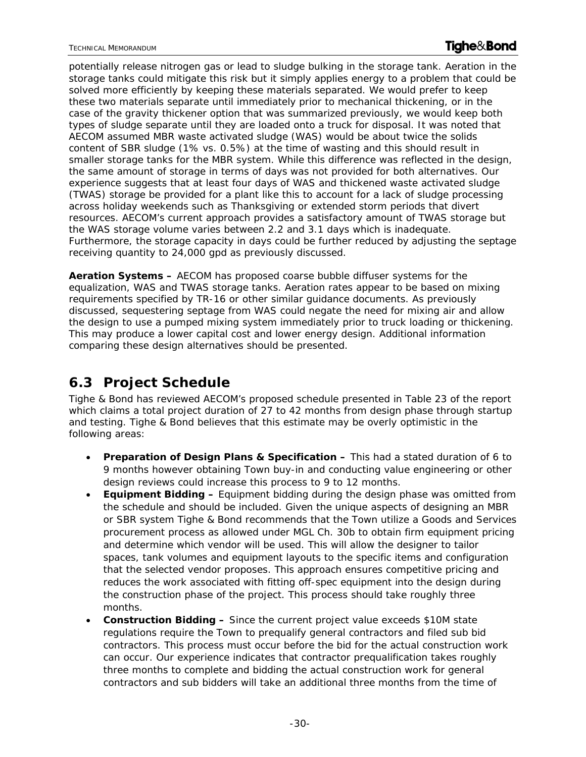potentially release nitrogen gas or lead to sludge bulking in the storage tank. Aeration in the storage tanks could mitigate this risk but it simply applies energy to a problem that could be solved more efficiently by keeping these materials separated. We would prefer to keep these two materials separate until immediately prior to mechanical thickening, or in the case of the gravity thickener option that was summarized previously, we would keep both types of sludge separate until they are loaded onto a truck for disposal. It was noted that AECOM assumed MBR waste activated sludge (WAS) would be about twice the solids content of SBR sludge (1% vs. 0.5%) at the time of wasting and this should result in smaller storage tanks for the MBR system. While this difference was reflected in the design, the same amount of storage in terms of days was not provided for both alternatives. Our experience suggests that at least four days of WAS and thickened waste activated sludge (TWAS) storage be provided for a plant like this to account for a lack of sludge processing across holiday weekends such as Thanksgiving or extended storm periods that divert resources. AECOM's current approach provides a satisfactory amount of TWAS storage but the WAS storage volume varies between 2.2 and 3.1 days which is inadequate. Furthermore, the storage capacity in days could be further reduced by adjusting the septage receiving quantity to 24,000 gpd as previously discussed.

**Aeration Systems –** AECOM has proposed coarse bubble diffuser systems for the equalization, WAS and TWAS storage tanks. Aeration rates appear to be based on mixing requirements specified by TR-16 or other similar guidance documents. As previously discussed, sequestering septage from WAS could negate the need for mixing air and allow the design to use a pumped mixing system immediately prior to truck loading or thickening. This may produce a lower capital cost and lower energy design. Additional information comparing these design alternatives should be presented.

# **6.3 Project Schedule**

Tighe & Bond has reviewed AECOM's proposed schedule presented in Table 23 of the report which claims a total project duration of 27 to 42 months from design phase through startup and testing. Tighe & Bond believes that this estimate may be overly optimistic in the following areas:

- **Preparation of Design Plans & Specification –** This had a stated duration of 6 to 9 months however obtaining Town buy-in and conducting value engineering or other design reviews could increase this process to 9 to 12 months.
- **Equipment Bidding –** Equipment bidding during the design phase was omitted from the schedule and should be included. Given the unique aspects of designing an MBR or SBR system Tighe & Bond recommends that the Town utilize a Goods and Services procurement process as allowed under MGL Ch. 30b to obtain firm equipment pricing and determine which vendor will be used. This will allow the designer to tailor spaces, tank volumes and equipment layouts to the specific items and configuration that the selected vendor proposes. This approach ensures competitive pricing and reduces the work associated with fitting off-spec equipment into the design during the construction phase of the project. This process should take roughly three months.
- **Construction Bidding –** Since the current project value exceeds \$10M state regulations require the Town to prequalify general contractors and filed sub bid contractors. This process must occur before the bid for the actual construction work can occur. Our experience indicates that contractor prequalification takes roughly three months to complete and bidding the actual construction work for general contractors and sub bidders will take an additional three months from the time of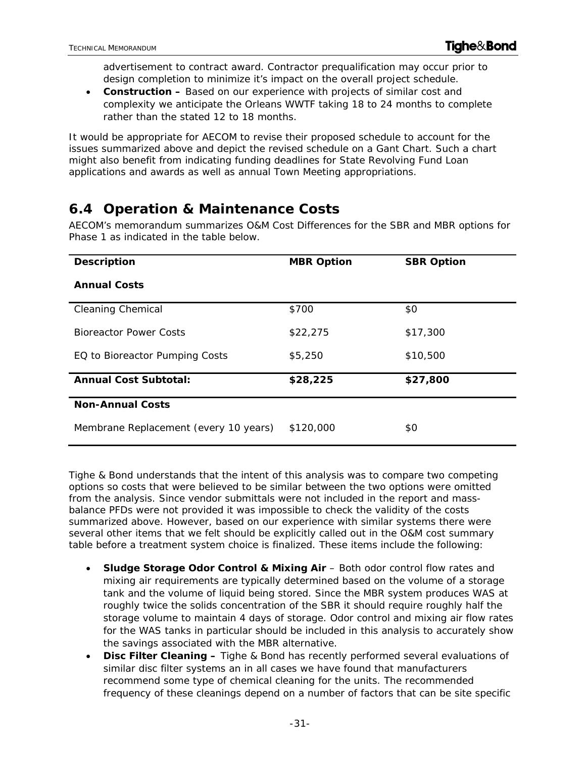advertisement to contract award. Contractor prequalification may occur prior to design completion to minimize it's impact on the overall project schedule.

 **Construction –** Based on our experience with projects of similar cost and complexity we anticipate the Orleans WWTF taking 18 to 24 months to complete rather than the stated 12 to 18 months.

It would be appropriate for AECOM to revise their proposed schedule to account for the issues summarized above and depict the revised schedule on a Gant Chart. Such a chart might also benefit from indicating funding deadlines for State Revolving Fund Loan applications and awards as well as annual Town Meeting appropriations.

# **6.4 Operation & Maintenance Costs**

AECOM's memorandum summarizes O&M Cost *Differences* for the SBR and MBR options for Phase 1 as indicated in the table below.

| <b>Description</b>                    | <b>MBR Option</b> | <b>SBR Option</b> |
|---------------------------------------|-------------------|-------------------|
| <b>Annual Costs</b>                   |                   |                   |
| <b>Cleaning Chemical</b>              | \$700             | \$0               |
| <b>Bioreactor Power Costs</b>         | \$22,275          | \$17,300          |
| EQ to Bioreactor Pumping Costs        | \$5,250           | \$10,500          |
| <b>Annual Cost Subtotal:</b>          | \$28,225          | \$27,800          |
| <b>Non-Annual Costs</b>               |                   |                   |
| Membrane Replacement (every 10 years) | \$120,000         | \$0               |

Tighe & Bond understands that the intent of this analysis was to compare two competing options so costs that were believed to be similar between the two options were omitted from the analysis. Since vendor submittals were not included in the report and massbalance PFDs were not provided it was impossible to check the validity of the costs summarized above. However, based on our experience with similar systems there were several other items that we felt should be explicitly called out in the O&M cost summary table before a treatment system choice is finalized. These items include the following:

- **Sludge Storage Odor Control & Mixing Air** Both odor control flow rates and mixing air requirements are typically determined based on the volume of a storage tank and the volume of liquid being stored. Since the MBR system produces WAS at roughly twice the solids concentration of the SBR it should require roughly half the storage volume to maintain 4 days of storage. Odor control and mixing air flow rates for the WAS tanks in particular should be included in this analysis to accurately show the savings associated with the MBR alternative.
- **Disc Filter Cleaning –** Tighe & Bond has recently performed several evaluations of similar disc filter systems an in all cases we have found that manufacturers recommend some type of chemical cleaning for the units. The recommended frequency of these cleanings depend on a number of factors that can be site specific